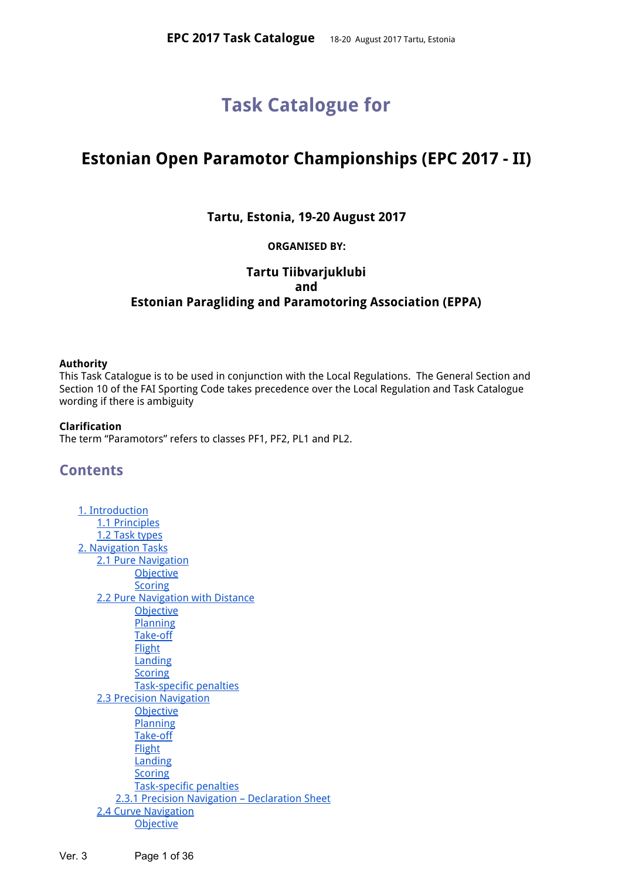# **Task Catalogue for**

# **Estonian Open Paramotor Championships (EPC 2017 - II)**

## **Tartu, Estonia, 19-20 August 2017**

## **ORGANISED BY:**

## **Tartu Tiibvarjuklubi and Estonian Paragliding and Paramotoring Association (EPPA)**

#### **Authority**

This Task Catalogue is to be used in conjunction with the Local Regulations. The General Section and Section 10 of the FAI Sporting Code takes precedence over the Local Regulation and Task Catalogue wording if there is ambiguity

#### **Clarification**

The term "Paramotors" refers to classes PF1, PF2, PL1 and PL2.

## **Contents**

| 1. Introduction                                |
|------------------------------------------------|
| 1.1 Principles                                 |
| 1.2 Task types                                 |
| 2. Navigation Tasks                            |
| 2.1 Pure Navigation                            |
| <b>Objective</b>                               |
| <b>Scoring</b>                                 |
| 2.2 Pure Navigation with Distance              |
| <b>Objective</b>                               |
| Planning                                       |
| Take-off                                       |
| <b>Flight</b>                                  |
| Landing                                        |
| <b>Scoring</b>                                 |
| <b>Task-specific penalties</b>                 |
| 2.3 Precision Navigation                       |
| <b>Objective</b>                               |
| Planning                                       |
| Take-off                                       |
| <b>Flight</b>                                  |
| Landing                                        |
| <b>Scoring</b>                                 |
| Task-specific penalties                        |
| 2.3.1 Precision Navigation - Declaration Sheet |
| 2.4 Curve Navigation                           |
| <b>Objective</b>                               |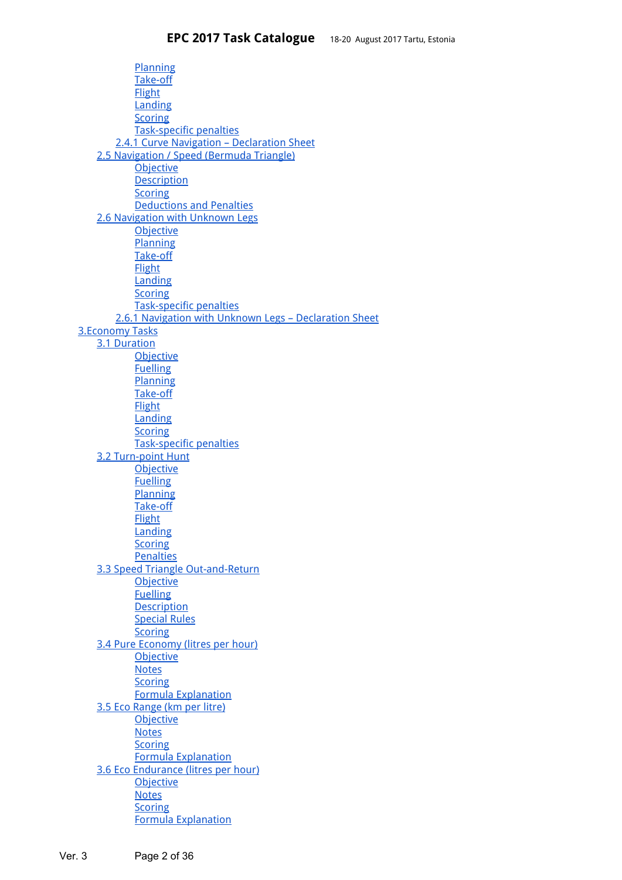[Planning](#page-8-4) [Take-off](#page-8-5) **[Flight](#page-8-2)** [Landing](#page-8-6) **[Scoring](#page-8-1)** [Task-specific](#page-8-3) penalties 2.4.1 Curve Navigation - [Declaration](#page-9-0) Sheet 2.5 [Navigation](#page-9-1) / Speed (Bermuda Triangle) **[Objective](#page-10-3) [Description](#page-10-2) [Scoring](#page-10-4)** [Deductions](#page-10-0) and Penalties 2.6 [Navigation](#page-10-1) with Unknown Legs **[Objective](#page-11-3)** [Planning](#page-11-6) [Take-off](#page-11-5) **[Flight](#page-11-1) [Landing](#page-11-0) [Scoring](#page-11-4)** [Task-specific](#page-11-2) penalties 2.6.1 Navigation with Unknown Legs – [Declaration](#page-12-0) Sheet [3.Economy](#page-12-1) Tasks 3.1 [Duration](#page-13-1) **[Objective](#page-13-3)** [Fuelling](#page-13-9) **[Planning](#page-13-6)** [Take-off](#page-13-0) **[Flight](#page-13-5)** [Landing](#page-13-2) **[Scoring](#page-13-7)** [Task-specific](#page-13-8) penalties 3.2 [Turn-point](#page-13-4) Hunt **[Objective](#page-14-6) [Fuelling](#page-14-3) [Planning](#page-14-0)** [Take-off](#page-14-4) **[Flight](#page-14-2)** [Landing](#page-14-1) **[Scoring](#page-14-7) [Penalties](#page-14-8)** 3.3 Speed Triangle [Out-and-Return](#page-14-5) **[Objective](#page-15-1) [Fuelling](#page-15-2) [Description](#page-15-0)** [Special](#page-15-4) Rules **[Scoring](#page-15-3)** 3.4 Pure [Economy](#page-15-5) (litres per hour) **[Objective](#page-16-0) [Notes](#page-16-3) [Scoring](#page-16-2)** Formula [Explanation](#page-16-4) 3.5 Eco [Range](#page-16-1) (km per litre) **[Objective](#page-17-1) [Notes](#page-17-3) [Scoring](#page-17-0)** Formula [Explanation](#page-17-4) 3.6 Eco [Endurance](#page-17-2) (litres per hour) **[Objective](#page-18-0) [Notes](#page-18-3) [Scoring](#page-18-1)** Formula [Explanation](#page-18-2)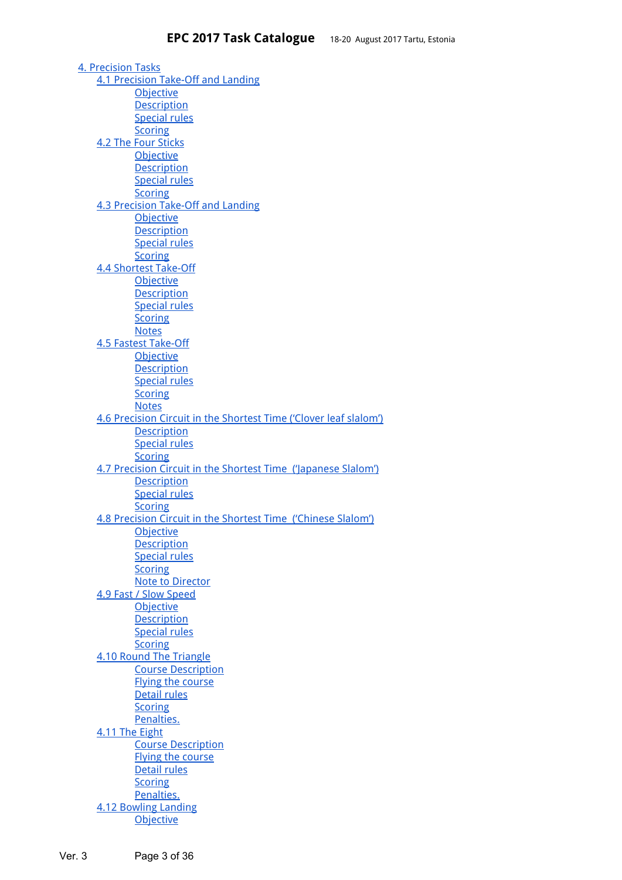4. [Precision](#page-19-2) Tasks 4.1 [Precision](#page-19-3) Take-Off and Landing **[Objective](#page-19-1) [Description](#page-19-5)** [Special](#page-19-0) rules **[Scoring](#page-19-4)** 4.2 The Four [Sticks](#page-20-4) **[Objective](#page-20-3) [Description](#page-20-2)** [Special](#page-20-0) rules **[Scoring](#page-20-1)** 4.3 [Precision](#page-20-5) Take-Off and Landing **[Objective](#page-21-2) [Description](#page-21-1)** [Special](#page-21-0) rules **[Scoring](#page-21-3)** 4.4 Shortest [Take-Off](#page-21-4) **[Objective](#page-22-5) [Description](#page-22-4)** [Special](#page-22-3) rules **[Scoring](#page-22-0) [Notes](#page-22-1)** 4.5 Fastest [Take-Off](#page-22-2) **[Objective](#page-23-1) [Description](#page-23-4)** [Special](#page-23-0) rules **[Scoring](#page-23-3) [Notes](#page-23-5)** 4.6 [Precision](#page-23-2) Circuit in the Shortest Time ('Clover leaf slalom') **[Description](#page-24-1)** [Special](#page-24-2) rules **[Scoring](#page-24-3)** 4.7 Precision Circuit in the Shortest Time [\('Japanese](#page-24-0) Slalom') **[Description](#page-25-3)** [Special](#page-25-2) rules **[Scoring](#page-25-1)** 4.8 [Precision](#page-25-0) Circuit in the Shortest Time ('Chinese Slalom') **[Objective](#page-26-4) [Description](#page-26-5)** [Special](#page-26-0) rules **[Scoring](#page-26-1)** Note to [Director](#page-26-3) 4.9 Fast / Slow [Speed](#page-26-2) **[Objective](#page-27-2) [Description](#page-27-1)** [Special](#page-27-0) rules **[Scoring](#page-27-4)** 4.10 Round The [Triangle](#page-27-3) Course [Description](#page-28-5) Flying the [course](#page-28-1) [Detail](#page-28-0) rules **[Scoring](#page-28-3)** [Penalties.](#page-28-2) 4.11 The [Eight](#page-28-4) Course [Description](#page-29-2) Flying the [course](#page-29-4) [Detail](#page-29-5) rules **[Scoring](#page-29-0)** [Penalties.](#page-29-1) 4.12 [Bowling](#page-29-3) Landing **[Objective](#page-30-0)**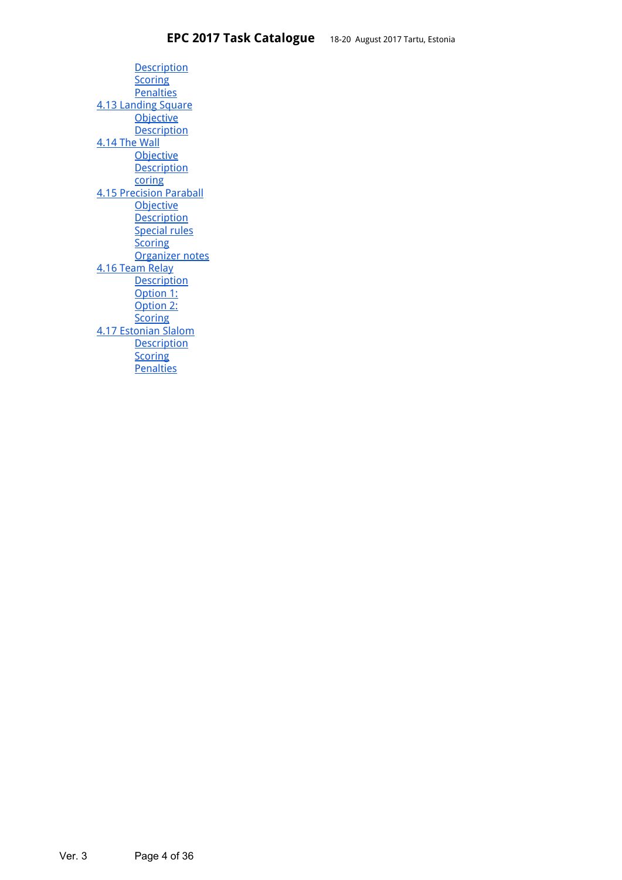**[Description](#page-30-4) [Scoring](#page-30-3) [Penalties](#page-30-1)** 4.13 [Landing](#page-30-2) Square **[Objective](#page-31-2) [Description](#page-31-0)** [4.14](#page-31-1) The Wall **[Objective](#page-32-3) [Description](#page-32-1)** [coring](#page-32-2) 4.15 [Precision](#page-32-0) Paraball **[Objective](#page-33-1) [Description](#page-33-5)** [Special](#page-33-3) rules **[Scoring](#page-33-4)** [Organizer](#page-33-2) notes 4.16 [Team](#page-33-0) Relay **[Description](#page-34-0)** [Option](#page-34-2) 1: [Option](#page-34-3) 2: **[Scoring](#page-34-4)** 4.17 [Estonian](#page-34-1) Slalom **[Description](#page-35-2) [Scoring](#page-35-0) [Penalties](#page-35-1)**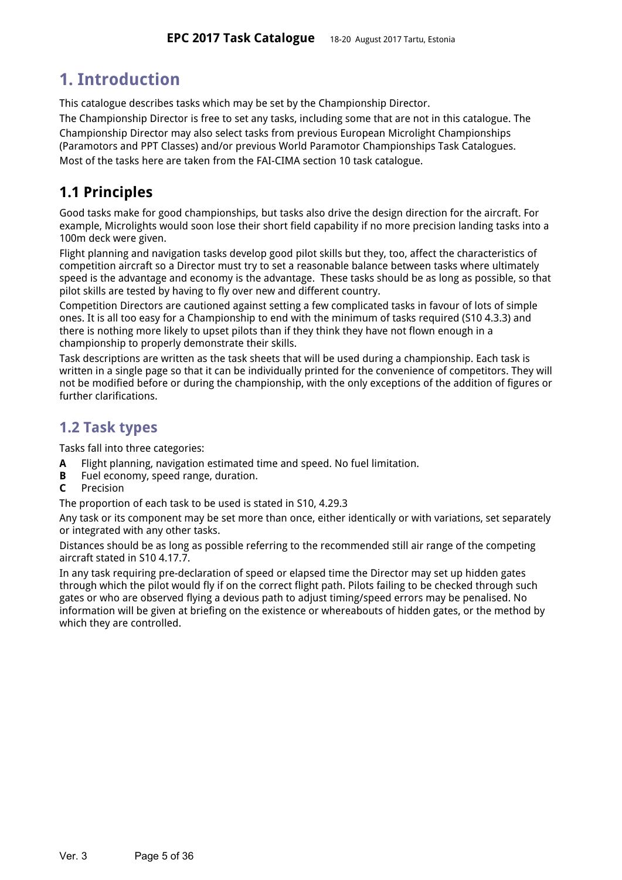# <span id="page-4-1"></span>**1. Introduction**

This catalogue describes tasks which may be set by the Championship Director.

The Championship Director is free to set any tasks, including some that are not in this catalogue. The Championship Director may also select tasks from previous European Microlight Championships (Paramotors and PPT Classes) and/or previous World Paramotor Championships Task Catalogues. Most of the tasks here are taken from the FAI-CIMA section 10 task catalogue.

## <span id="page-4-2"></span>**1.1 Principles**

Good tasks make for good championships, but tasks also drive the design direction for the aircraft. For example, Microlights would soon lose their short field capability if no more precision landing tasks into a 100m deck were given.

Flight planning and navigation tasks develop good pilot skills but they, too, affect the characteristics of competition aircraft so a Director must try to set a reasonable balance between tasks where ultimately speed is the advantage and economy is the advantage. These tasks should be as long as possible, so that pilot skills are tested by having to fly over new and different country.

Competition Directors are cautioned against setting a few complicated tasks in favour of lots of simple ones. It is all too easy for a Championship to end with the minimum of tasks required (S10 4.3.3) and there is nothing more likely to upset pilots than if they think they have not flown enough in a championship to properly demonstrate their skills.

Task descriptions are written as the task sheets that will be used during a championship. Each task is written in a single page so that it can be individually printed for the convenience of competitors. They will not be modified before or during the championship, with the only exceptions of the addition of figures or further clarifications.

## <span id="page-4-0"></span>**1.2 Task types**

Tasks fall into three categories:

- **A** Flight planning, navigation estimated time and speed. No fuel limitation.
- **B** Fuel economy, speed range, duration.
- **C** Precision

The proportion of each task to be used is stated in S10, 4.29.3

Any task or its component may be set more than once, either identically or with variations, set separately or integrated with any other tasks.

Distances should be as long as possible referring to the recommended still air range of the competing aircraft stated in S10 4.17.7.

In any task requiring pre-declaration of speed or elapsed time the Director may set up hidden gates through which the pilot would fly if on the correct flight path. Pilots failing to be checked through such gates or who are observed flying a devious path to adjust timing/speed errors may be penalised. No information will be given at briefing on the existence or whereabouts of hidden gates, or the method by which they are controlled.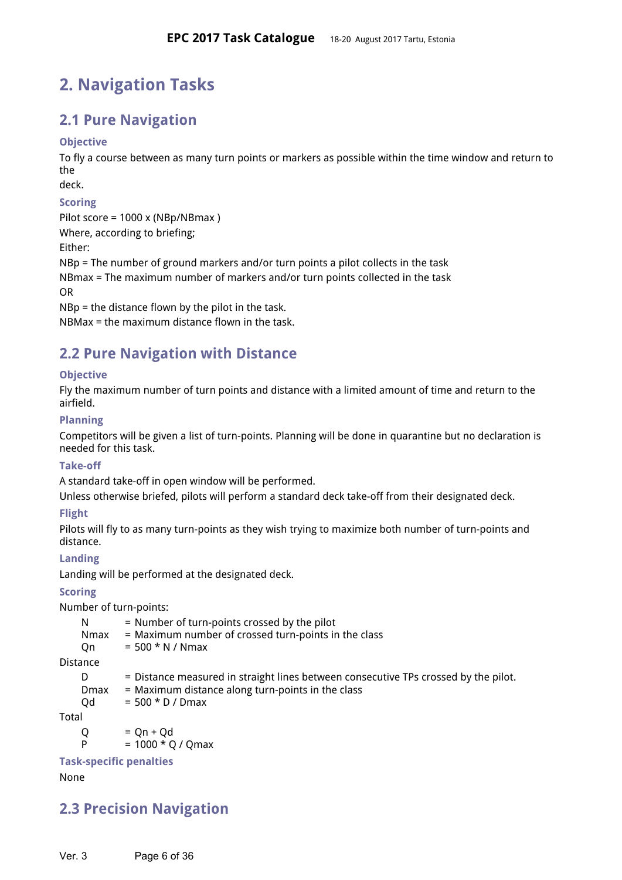# <span id="page-5-9"></span>**2. Navigation Tasks**

## <span id="page-5-8"></span>**2.1 Pure Navigation**

## <span id="page-5-12"></span>**Objective**

To fly a course between as many turn points or markers as possible within the time window and return to the

deck.

## <span id="page-5-4"></span>**Scoring**

Pilot score = 1000 x (NBp/NBmax )

Where, according to briefing;

Either:

NBp = The number of ground markers and/or turn points a pilot collects in the task

NBmax = The maximum number of markers and/or turn points collected in the task

OR

NBp = the distance flown by the pilot in the task.

NBMax = the maximum distance flown in the task.

## <span id="page-5-2"></span>**2.2 Pure Navigation with Distance**

## <span id="page-5-6"></span>**Objective**

Fly the maximum number of turn points and distance with a limited amount of time and return to the airfield.

## <span id="page-5-0"></span>**Planning**

Competitors will be given a list of turn-points. Planning will be done in quarantine but no declaration is needed for this task.

## <span id="page-5-1"></span>**Take-off**

A standard take-off in open window will be performed.

Unless otherwise briefed, pilots will perform a standard deck take-off from their designated deck.

## <span id="page-5-10"></span>**Flight**

Pilots will fly to as many turn-points as they wish trying to maximize both number of turn-points and distance.

## <span id="page-5-11"></span>**Landing**

Landing will be performed at the designated deck.

## <span id="page-5-7"></span>**Scoring**

Number of turn-points:

| -N   | = Number of turn-points crossed by the pilot         |
|------|------------------------------------------------------|
| Nmax | = Maximum number of crossed turn-points in the class |
| . On | $= 500 * N / Nmax$                                   |

Distance

- D = Distance measured in straight lines between consecutive TPs crossed by the pilot.
- $Dmax = Maximum distance along turn-points in the class$

 $Qd = 500 * D / Dmax$ 

Total

 $Q = Qn + Qd$ 

 $= 1000 * Q / Qmax$ 

<span id="page-5-3"></span>**Task-specific penalties**

None

## <span id="page-5-5"></span>**2.3 Precision Navigation**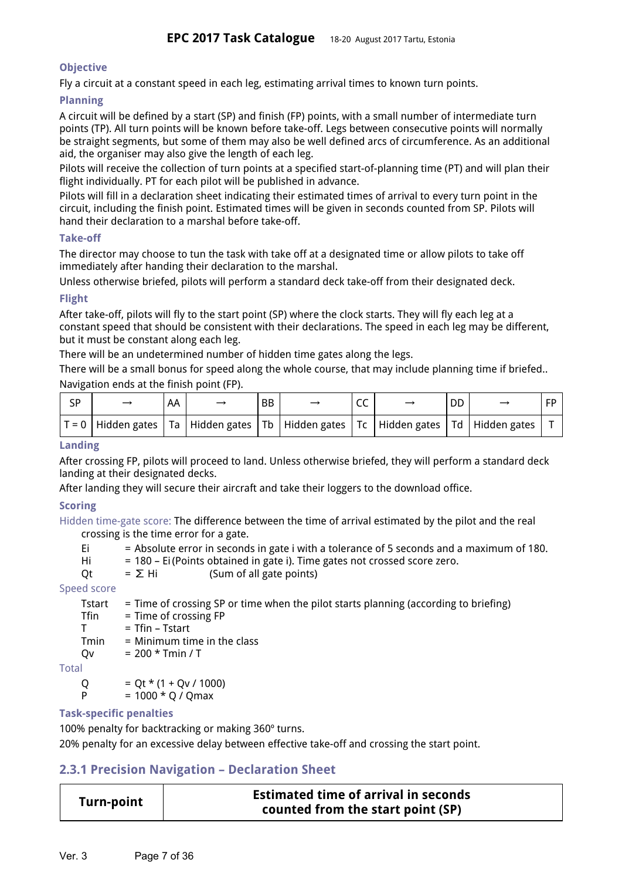### <span id="page-6-5"></span>**Objective**

Fly a circuit at a constant speed in each leg, estimating arrival times to known turn points.

### <span id="page-6-3"></span>**Planning**

A circuit will be defined by a start (SP) and finish (FP) points, with a small number of intermediate turn points (TP). All turn points will be known before take-off. Legs between consecutive points will normally be straight segments, but some of them may also be well defined arcs of circumference. As an additional aid, the organiser may also give the length of each leg.

Pilots will receive the collection of turn points at a specified start-of-planning time (PT) and will plan their flight individually. PT for each pilot will be published in advance.

Pilots will fill in a declaration sheet indicating their estimated times of arrival to every turn point in the circuit, including the finish point. Estimated times will be given in seconds counted from SP. Pilots will hand their declaration to a marshal before take-off.

#### <span id="page-6-6"></span>**Take-off**

The director may choose to tun the task with take off at a designated time or allow pilots to take off immediately after handing their declaration to the marshal.

Unless otherwise briefed, pilots will perform a standard deck take-off from their designated deck.

## <span id="page-6-7"></span>**Flight**

After take-off, pilots will fly to the start point (SP) where the clock starts. They will fly each leg at a constant speed that should be consistent with their declarations. The speed in each leg may be different, but it must be constant along each leg.

There will be an undetermined number of hidden time gates along the legs.

There will be a small bonus for speed along the whole course, that may include planning time if briefed.. Navigation ends at the finish point (FP).

| SP |                                                                                                      | AA | <b>BB</b> | ここ | DD |  |
|----|------------------------------------------------------------------------------------------------------|----|-----------|----|----|--|
|    | T = 0   Hidden gates   Ta   Hidden gates   Tb   Hidden gates   Tc   Hidden gates   Td   Hidden gates |    |           |    |    |  |

## <span id="page-6-0"></span>**Landing**

After crossing FP, pilots will proceed to land. Unless otherwise briefed, they will perform a standard deck landing at their designated decks.

After landing they will secure their aircraft and take their loggers to the download office.

## <span id="page-6-4"></span>**Scoring**

Hidden time-gate score: The difference between the time of arrival estimated by the pilot and the real crossing is the time error for a gate.

- Ei = Absolute error in seconds in gate i with a tolerance of 5 seconds and a maximum of 180.
- Hi = 180 Ei(Points obtained in gate i). Time gates not crossed score zero.
- Qt =  $\Sigma$  Hi (Sum of all gate points)

## Speed score

|              | Tstart | = Time of crossing SP or time when the pilot starts planning (according to briefing) |
|--------------|--------|--------------------------------------------------------------------------------------|
|              | Tfin   | $=$ Time of crossing FP                                                              |
|              |        | $=$ Tfin – Tstart                                                                    |
|              | Tmin   | $=$ Minimum time in the class                                                        |
|              | Ov     | $= 200 * Tmin / T$                                                                   |
| <b>Total</b> |        |                                                                                      |
|              | Ő      | $= Qt * (1 + Qv / 1000)$                                                             |
|              | Þ      | $= 1000 * Q / Qmax$                                                                  |

## <span id="page-6-1"></span>**Task-specific penalties**

100% penalty for backtracking or making 360º turns.

20% penalty for an excessive delay between effective take-off and crossing the start point.

## <span id="page-6-2"></span>**2.3.1 Precision Navigation – Declaration Sheet**

| <b>Turn-point</b> | <b>Estimated time of arrival in seconds</b> |
|-------------------|---------------------------------------------|
|                   | counted from the start point (SP)           |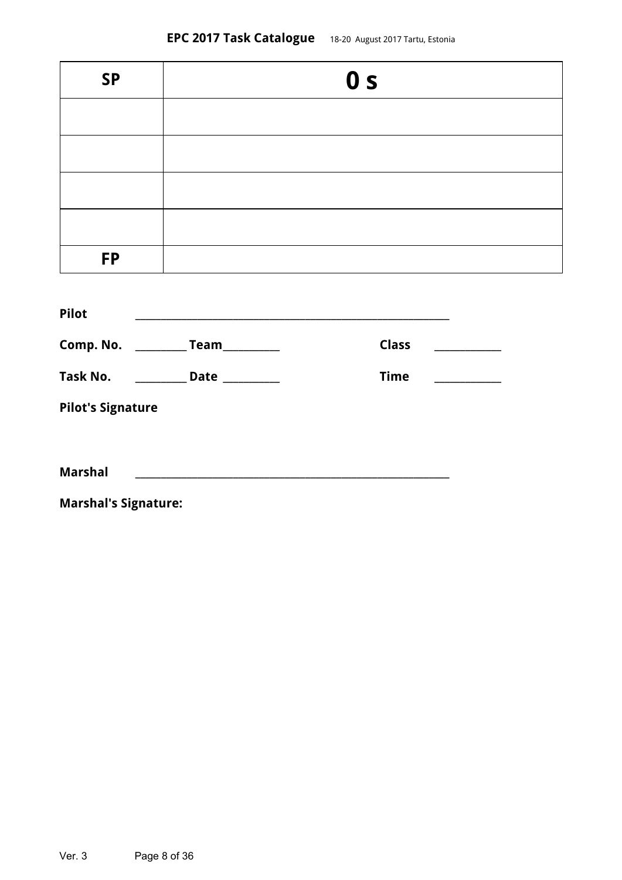| <b>SP</b> | 0 <sub>s</sub> |
|-----------|----------------|
|           |                |
|           |                |
|           |                |
|           |                |
| <b>FP</b> |                |

| Pilot                    |             |              |  |
|--------------------------|-------------|--------------|--|
| Comp. No.                | Team        | <b>Class</b> |  |
| Task No.                 | <b>Date</b> | <b>Time</b>  |  |
| <b>Pilot's Signature</b> |             |              |  |
|                          |             |              |  |
| <b>Marshal</b>           |             |              |  |

<span id="page-7-0"></span>**Marshal's Signature:**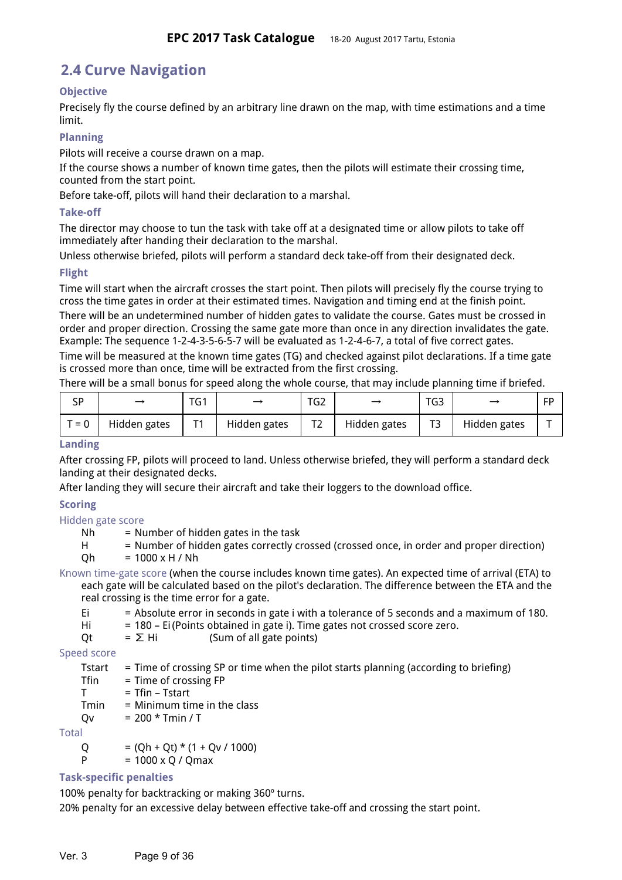## **2.4 Curve Navigation**

## <span id="page-8-0"></span>**Objective**

Precisely fly the course defined by an arbitrary line drawn on the map, with time estimations and a time limit.

## <span id="page-8-4"></span>**Planning**

Pilots will receive a course drawn on a map.

If the course shows a number of known time gates, then the pilots will estimate their crossing time, counted from the start point.

Before take-off, pilots will hand their declaration to a marshal.

#### <span id="page-8-5"></span>**Take-off**

The director may choose to tun the task with take off at a designated time or allow pilots to take off immediately after handing their declaration to the marshal.

Unless otherwise briefed, pilots will perform a standard deck take-off from their designated deck.

## <span id="page-8-2"></span>**Flight**

Time will start when the aircraft crosses the start point. Then pilots will precisely fly the course trying to cross the time gates in order at their estimated times. Navigation and timing end at the finish point.

There will be an undetermined number of hidden gates to validate the course. Gates must be crossed in order and proper direction. Crossing the same gate more than once in any direction invalidates the gate. Example: The sequence 1-2-4-3-5-6-5-7 will be evaluated as 1-2-4-6-7, a total of five correct gates.

Time will be measured at the known time gates (TG) and checked against pilot declarations. If a time gate is crossed more than once, time will be extracted from the first crossing.

There will be a small bonus for speed along the whole course, that may include planning time if briefed.

| SP      |              | TG1 |              | TG <sub>2</sub> |              | TG <sub>3</sub> |              | FP |
|---------|--------------|-----|--------------|-----------------|--------------|-----------------|--------------|----|
| $T = 0$ | Hidden gates | T4  | Hidden gates | ⊤≏<br>' 4       | Hidden gates | T <sub>3</sub>  | Hidden gates |    |

### <span id="page-8-6"></span>**Landing**

After crossing FP, pilots will proceed to land. Unless otherwise briefed, they will perform a standard deck landing at their designated decks.

After landing they will secure their aircraft and take their loggers to the download office.

## <span id="page-8-1"></span>**Scoring**

#### Hidden gate score

 $Nh$  = Number of hidden gates in the task

H = Number of hidden gates correctly crossed (crossed once, in order and proper direction)  $Qh = 1000 \times H / Nh$ 

Known time-gate score (when the course includes known time gates). An expected time of arrival (ETA) to each gate will be calculated based on the pilot's declaration. The difference between the ETA and the real crossing is the time error for a gate.

- $Ei$  = Absolute error in seconds in gate i with a tolerance of 5 seconds and a maximum of 180.
- Hi = 180 Ei (Points obtained in gate i). Time gates not crossed score zero.

$$
Qt = \Sigma \text{ Hi} \qquad \text{(Sum of all gate points)}
$$

Speed score

Tstart  $=$  Time of crossing SP or time when the pilot starts planning (according to briefing)

 $Tfin$  = Time of crossing  $FP$ 

 $T = Tfin - Tstart$ 

 $Tmin = Minimum time in the class$ 

 $Qv = 200 * Tmin / T$ 

**Total** 

 $Q = (Qh + Qt) * (1 + Qv / 1000)$ 

 $P = 1000 \times Q / Qmax$ 

## <span id="page-8-3"></span>**Task-specific penalties**

100% penalty for backtracking or making 360º turns.

20% penalty for an excessive delay between effective take-off and crossing the start point.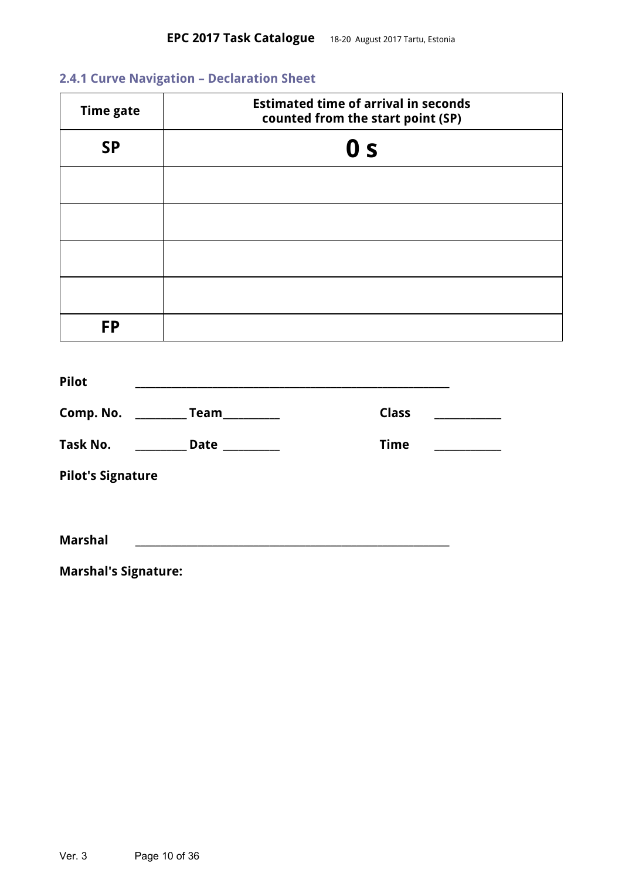## <span id="page-9-0"></span>**2.4.1 Curve Navigation – Declaration Sheet**

| <b>Time gate</b>         |                                        | <b>Estimated time of arrival in seconds</b><br>counted from the start point (SP) |  |
|--------------------------|----------------------------------------|----------------------------------------------------------------------------------|--|
| <b>SP</b>                |                                        | 0 <sub>s</sub>                                                                   |  |
|                          |                                        |                                                                                  |  |
|                          |                                        |                                                                                  |  |
|                          |                                        |                                                                                  |  |
|                          |                                        |                                                                                  |  |
| <b>FP</b>                |                                        |                                                                                  |  |
| <b>Pilot</b>             |                                        |                                                                                  |  |
|                          | Comp. No. ___________ Team__________   | <b>Class</b>                                                                     |  |
|                          | Task No. ____________ Date ___________ | <b>Time</b>                                                                      |  |
| <b>Pilot's Signature</b> |                                        |                                                                                  |  |

**Marshal \_\_\_\_\_\_\_\_\_\_\_\_\_\_\_\_\_\_\_\_\_\_\_\_\_\_\_\_\_\_\_\_\_\_\_\_\_\_\_\_\_\_\_\_\_\_\_\_\_\_\_\_\_\_\_\_\_\_\_\_\_**

<span id="page-9-1"></span>**Marshal's Signature:**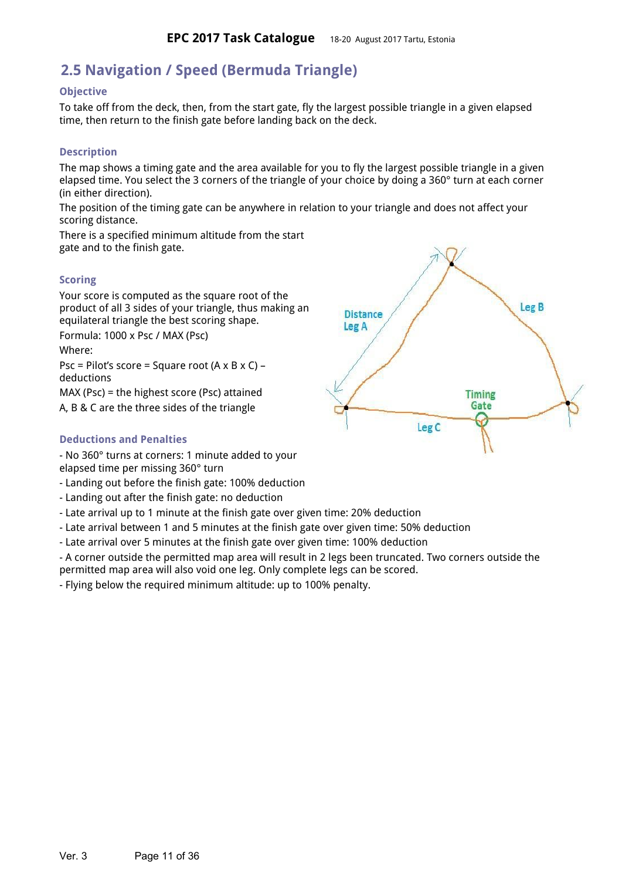## **2.5 Navigation / Speed (Bermuda Triangle)**

#### <span id="page-10-3"></span>**Objective**

To take off from the deck, then, from the start gate, fly the largest possible triangle in a given elapsed time, then return to the finish gate before landing back on the deck.

#### <span id="page-10-2"></span>**Description**

The map shows a timing gate and the area available for you to fly the largest possible triangle in a given elapsed time. You select the 3 corners of the triangle of your choice by doing a 360° turn at each corner (in either direction).

The position of the timing gate can be anywhere in relation to your triangle and does not affect your scoring distance.

There is a specified minimum altitude from the start gate and to the finish gate.

#### <span id="page-10-4"></span>**Scoring**

Your score is computed as the square root of the product of all 3 sides of your triangle, thus making an equilateral triangle the best scoring shape.

Formula: 1000 x Psc / MAX (Psc) Where:

Psc = Pilot's score = Square root  $(A \times B \times C)$  – deductions

MAX (Psc) = the highest score (Psc) attained A, B & C are the three sides of the triangle

#### <span id="page-10-0"></span>**Deductions and Penalties**

- No 360° turns at corners: 1 minute added to your elapsed time per missing 360° turn

- Landing out before the finish gate: 100% deduction
- Landing out after the finish gate: no deduction
- Late arrival up to 1 minute at the finish gate over given time: 20% deduction
- Late arrival between 1 and 5 minutes at the finish gate over given time: 50% deduction
- Late arrival over 5 minutes at the finish gate over given time: 100% deduction

- A corner outside the permitted map area will result in 2 legs been truncated. Two corners outside the permitted map area will also void one leg. Only complete legs can be scored.

<span id="page-10-1"></span>- Flying below the required minimum altitude: up to 100% penalty.

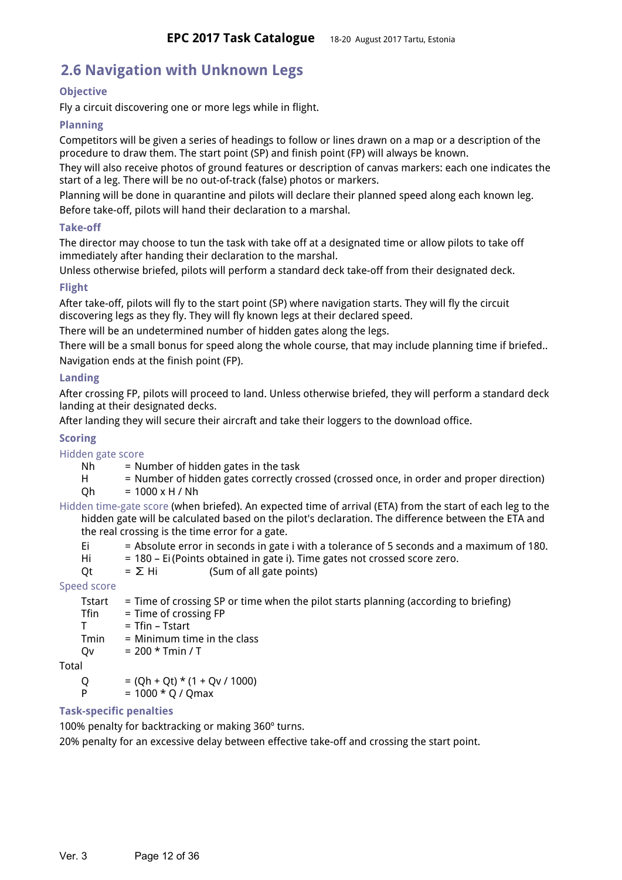## **2.6 Navigation with Unknown Legs**

## <span id="page-11-3"></span>**Objective**

Fly a circuit discovering one or more legs while in flight.

## <span id="page-11-6"></span>**Planning**

Competitors will be given a series of headings to follow or lines drawn on a map or a description of the procedure to draw them. The start point (SP) and finish point (FP) will always be known.

They will also receive photos of ground features or description of canvas markers: each one indicates the start of a leg. There will be no out-of-track (false) photos or markers.

Planning will be done in quarantine and pilots will declare their planned speed along each known leg. Before take-off, pilots will hand their declaration to a marshal.

## <span id="page-11-5"></span>**Take-off**

The director may choose to tun the task with take off at a designated time or allow pilots to take off immediately after handing their declaration to the marshal.

Unless otherwise briefed, pilots will perform a standard deck take-off from their designated deck.

## <span id="page-11-1"></span>**Flight**

After take-off, pilots will fly to the start point (SP) where navigation starts. They will fly the circuit discovering legs as they fly. They will fly known legs at their declared speed.

There will be an undetermined number of hidden gates along the legs.

There will be a small bonus for speed along the whole course, that may include planning time if briefed.. Navigation ends at the finish point (FP).

## <span id="page-11-0"></span>**Landing**

After crossing FP, pilots will proceed to land. Unless otherwise briefed, they will perform a standard deck landing at their designated decks.

After landing they will secure their aircraft and take their loggers to the download office.

## <span id="page-11-4"></span>**Scoring**

Hidden gate score

- $Nh$  = Number of hidden gates in the task
- H = Number of hidden gates correctly crossed (crossed once, in order and proper direction)  $Qh = 1000 \times H / Nh$
- Hidden time-gate score (when briefed). An expected time of arrival (ETA) from the start of each leg to the hidden gate will be calculated based on the pilot's declaration. The difference between the ETA and the real crossing is the time error for a gate.
	- Ei = Absolute error in seconds in gate i with a tolerance of 5 seconds and a maximum of 180.
	- Hi = 180 Ei (Points obtained in gate i). Time gates not crossed score zero.
	- Qt =  $\Sigma$  Hi (Sum of all gate points)

## Speed score

Tstart  $=$  Time of crossing SP or time when the pilot starts planning (according to briefing) Tfin = Time of crossing FP  $T = Tfin - Tstart$  $Tmin = Minimum time in the class$  $Qv = 200 * Tmin / T$ 

Total

 $Q = (Qh + Qt) * (1 + Qv / 1000)$ 

## P  $= 1000 * Q / Qmax$

## <span id="page-11-2"></span>**Task-specific penalties**

100% penalty for backtracking or making 360º turns.

20% penalty for an excessive delay between effective take-off and crossing the start point.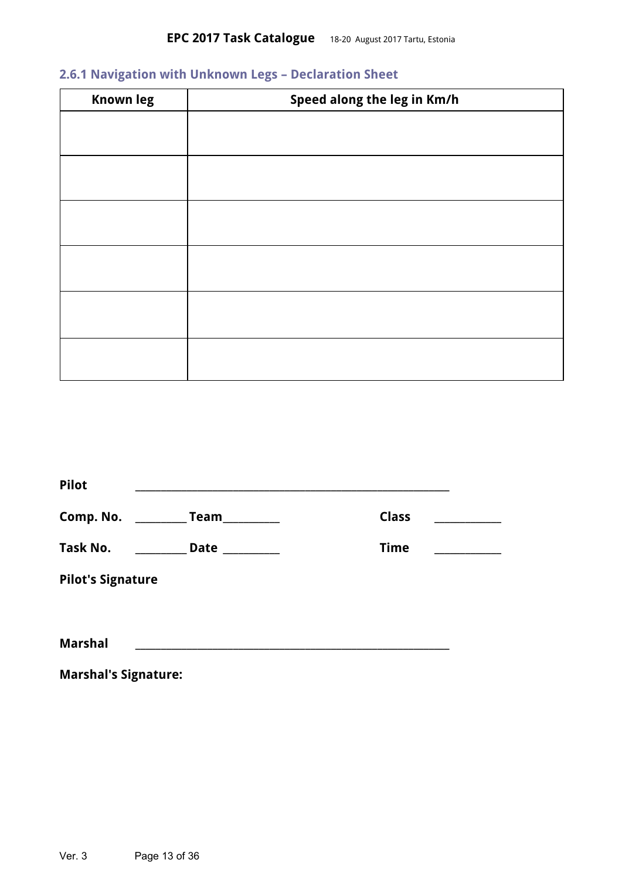## <span id="page-12-0"></span>**2.6.1 Navigation with Unknown Legs – Declaration Sheet**

| <b>Known leg</b> | Speed along the leg in Km/h |
|------------------|-----------------------------|
|                  |                             |
|                  |                             |
|                  |                             |
|                  |                             |
|                  |                             |
|                  |                             |
|                  |                             |
|                  |                             |
|                  |                             |
|                  |                             |
|                  |                             |
|                  |                             |

| <b>Pilot</b>             |                |              |  |
|--------------------------|----------------|--------------|--|
| Comp. No.                | Team           | <b>Class</b> |  |
| Task No.                 | Date _________ | <b>Time</b>  |  |
| <b>Pilot's Signature</b> |                |              |  |
|                          |                |              |  |
| <b>Marshal</b>           |                |              |  |
|                          |                |              |  |

<span id="page-12-1"></span>**Marshal's Signature:**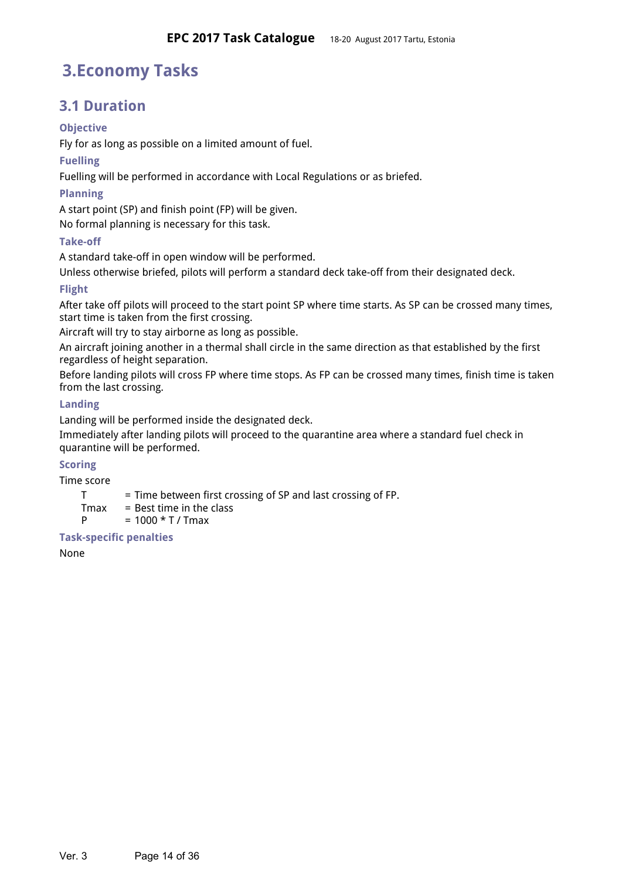# **3.Economy Tasks**

## <span id="page-13-1"></span>**3.1 Duration**

## <span id="page-13-3"></span>**Objective**

Fly for as long as possible on a limited amount of fuel.

## <span id="page-13-9"></span>**Fuelling**

Fuelling will be performed in accordance with Local Regulations or as briefed.

## <span id="page-13-6"></span>**Planning**

A start point (SP) and finish point (FP) will be given.

No formal planning is necessary for this task.

## <span id="page-13-0"></span>**Take-off**

A standard take-off in open window will be performed.

Unless otherwise briefed, pilots will perform a standard deck take-off from their designated deck.

## <span id="page-13-5"></span>**Flight**

After take off pilots will proceed to the start point SP where time starts. As SP can be crossed many times, start time is taken from the first crossing.

Aircraft will try to stay airborne as long as possible.

An aircraft joining another in a thermal shall circle in the same direction as that established by the first regardless of height separation.

Before landing pilots will cross FP where time stops. As FP can be crossed many times, finish time is taken from the last crossing.

## <span id="page-13-2"></span>**Landing**

Landing will be performed inside the designated deck.

Immediately after landing pilots will proceed to the quarantine area where a standard fuel check in quarantine will be performed.

## <span id="page-13-7"></span>**Scoring**

Time score

- T = Time between first crossing of SP and last crossing of FP.
- $T$ max = Best time in the class
- $P = 1000 * T / Tmax$

## <span id="page-13-8"></span>**Task-specific penalties**

<span id="page-13-4"></span>None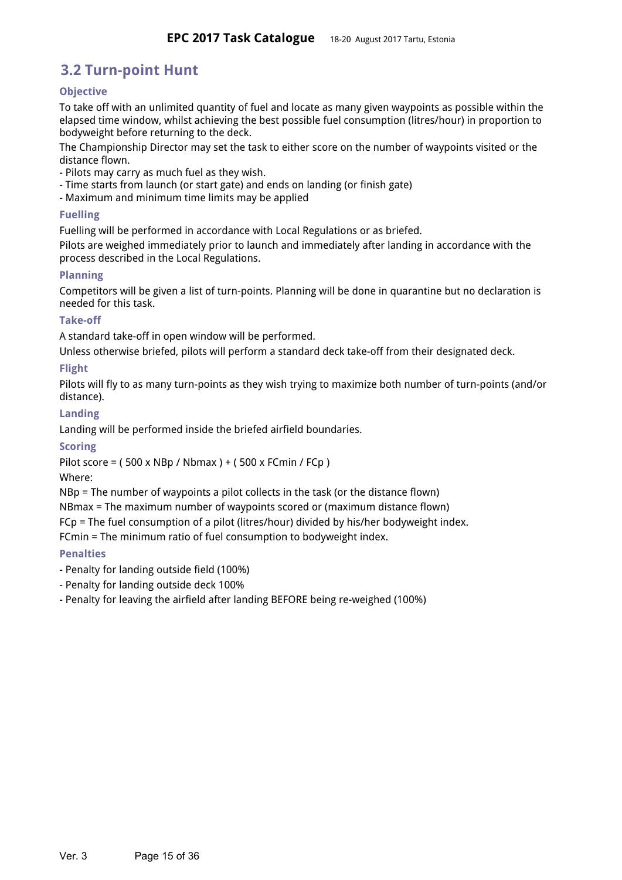## **3.2 Turn-point Hunt**

## <span id="page-14-6"></span>**Objective**

To take off with an unlimited quantity of fuel and locate as many given waypoints as possible within the elapsed time window, whilst achieving the best possible fuel consumption (litres/hour) in proportion to bodyweight before returning to the deck.

The Championship Director may set the task to either score on the number of waypoints visited or the distance flown.

- Pilots may carry as much fuel as they wish.
- Time starts from launch (or start gate) and ends on landing (or finish gate)
- Maximum and minimum time limits may be applied

### <span id="page-14-3"></span>**Fuelling**

Fuelling will be performed in accordance with Local Regulations or as briefed.

Pilots are weighed immediately prior to launch and immediately after landing in accordance with the process described in the Local Regulations.

## <span id="page-14-0"></span>**Planning**

Competitors will be given a list of turn-points. Planning will be done in quarantine but no declaration is needed for this task.

## <span id="page-14-4"></span>**Take-off**

A standard take-off in open window will be performed.

Unless otherwise briefed, pilots will perform a standard deck take-off from their designated deck.

## <span id="page-14-2"></span>**Flight**

Pilots will fly to as many turn-points as they wish trying to maximize both number of turn-points (and/or distance).

#### <span id="page-14-1"></span>**Landing**

Landing will be performed inside the briefed airfield boundaries.

## <span id="page-14-7"></span>**Scoring**

Pilot score = ( 500 x NBp / Nbmax ) + ( 500 x FCmin / FCp )

Where:

NBp = The number of waypoints a pilot collects in the task (or the distance flown)

NBmax = The maximum number of waypoints scored or (maximum distance flown)

FCp = The fuel consumption of a pilot (litres/hour) divided by his/her bodyweight index.

FCmin = The minimum ratio of fuel consumption to bodyweight index.

## <span id="page-14-8"></span>**Penalties**

- Penalty for landing outside field (100%)
- Penalty for landing outside deck 100%
- <span id="page-14-5"></span>- Penalty for leaving the airfield after landing BEFORE being re-weighed (100%)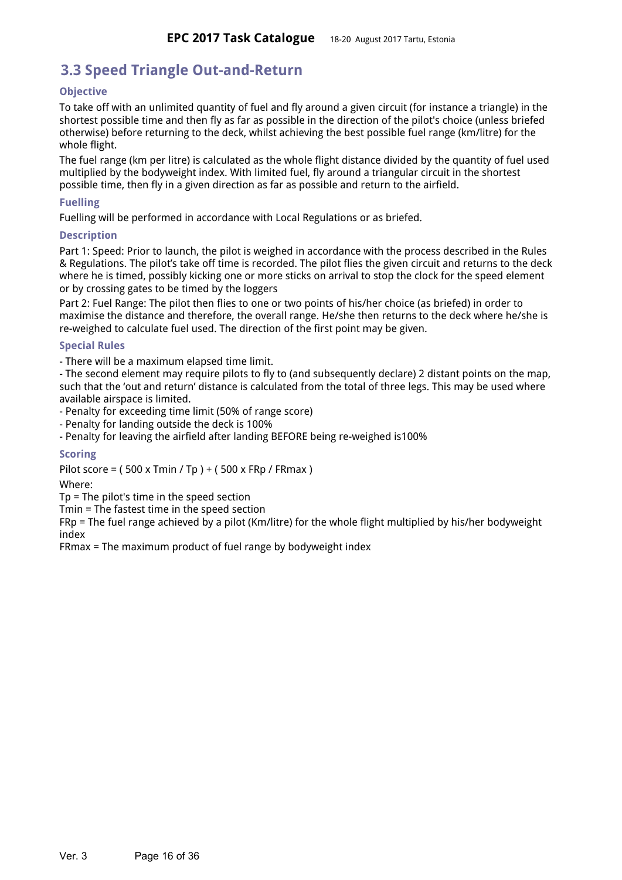## **3.3 Speed Triangle Out-and-Return**

## <span id="page-15-1"></span>**Objective**

To take off with an unlimited quantity of fuel and fly around a given circuit (for instance a triangle) in the shortest possible time and then fly as far as possible in the direction of the pilot's choice (unless briefed otherwise) before returning to the deck, whilst achieving the best possible fuel range (km/litre) for the whole flight.

The fuel range (km per litre) is calculated as the whole flight distance divided by the quantity of fuel used multiplied by the bodyweight index. With limited fuel, fly around a triangular circuit in the shortest possible time, then fly in a given direction as far as possible and return to the airfield.

### <span id="page-15-2"></span>**Fuelling**

Fuelling will be performed in accordance with Local Regulations or as briefed.

#### <span id="page-15-0"></span>**Description**

Part 1: Speed: Prior to launch, the pilot is weighed in accordance with the process described in the Rules & Regulations. The pilot's take off time is recorded. The pilot flies the given circuit and returns to the deck where he is timed, possibly kicking one or more sticks on arrival to stop the clock for the speed element or by crossing gates to be timed by the loggers

Part 2: Fuel Range: The pilot then flies to one or two points of his/her choice (as briefed) in order to maximise the distance and therefore, the overall range. He/she then returns to the deck where he/she is re-weighed to calculate fuel used. The direction of the first point may be given.

#### <span id="page-15-4"></span>**Special Rules**

- There will be a maximum elapsed time limit.

- The second element may require pilots to fly to (and subsequently declare) 2 distant points on the map, such that the 'out and return' distance is calculated from the total of three legs. This may be used where available airspace is limited.

- Penalty for exceeding time limit (50% of range score)

- Penalty for landing outside the deck is 100%

- Penalty for leaving the airfield after landing BEFORE being re-weighed is100%

## <span id="page-15-3"></span>**Scoring**

Pilot score = ( 500 x Tmin / Tp ) + ( 500 x FRp / FRmax )

Where:

Tp = The pilot's time in the speed section

Tmin = The fastest time in the speed section

FRp = The fuel range achieved by a pilot (Km/litre) for the whole flight multiplied by his/her bodyweight index

<span id="page-15-5"></span>FRmax = The maximum product of fuel range by bodyweight index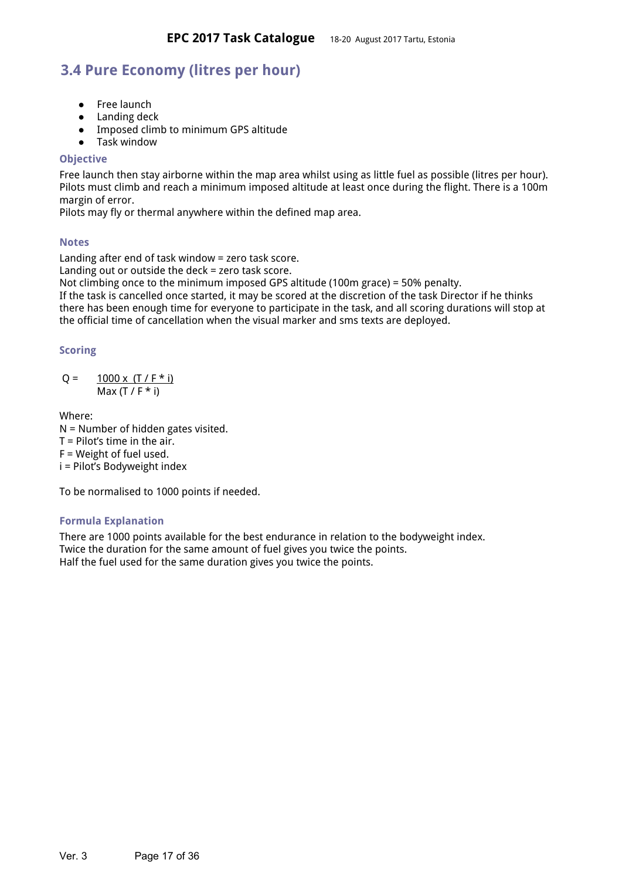## **3.4 Pure Economy (litres per hour)**

- Free launch
- Landing deck
- Imposed climb to minimum GPS altitude
- Task window

#### <span id="page-16-0"></span>**Objective**

Free launch then stay airborne within the map area whilst using as little fuel as possible (litres per hour). Pilots must climb and reach a minimum imposed altitude at least once during the flight. There is a 100m margin of error.

Pilots may fly or thermal anywhere within the defined map area.

#### <span id="page-16-3"></span>**Notes**

Landing after end of task window = zero task score. Landing out or outside the deck = zero task score.

Not climbing once to the minimum imposed GPS altitude (100m grace) = 50% penalty.

If the task is cancelled once started, it may be scored at the discretion of the task Director if he thinks there has been enough time for everyone to participate in the task, and all scoring durations will stop at the official time of cancellation when the visual marker and sms texts are deployed.

#### <span id="page-16-2"></span>**Scoring**

$$
Q = \frac{1000 \times (T / F * i)}{\text{Max} (T / F * i)}
$$

Where:

N = Number of hidden gates visited.  $T =$  Pilot's time in the air. F = Weight of fuel used.

i = Pilot's Bodyweight index

To be normalised to 1000 points if needed.

## <span id="page-16-4"></span>**Formula Explanation**

<span id="page-16-1"></span>There are 1000 points available for the best endurance in relation to the bodyweight index. Twice the duration for the same amount of fuel gives you twice the points. Half the fuel used for the same duration gives you twice the points.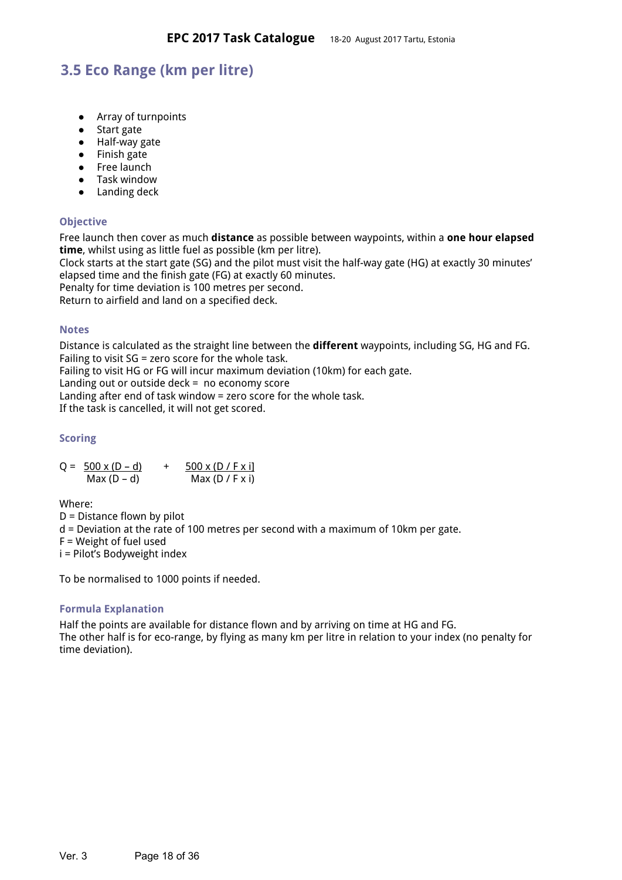## **3.5 Eco Range (km per litre)**

- Array of turnpoints
- Start gate
- Half-way gate
- Finish gate
- Free launch
- Task window
- Landing deck

## <span id="page-17-1"></span>**Objective**

Free launch then cover as much **distance** as possible between waypoints, within a **one hour elapsed time**, whilst using as little fuel as possible (km per litre).

Clock starts at the start gate (SG) and the pilot must visit the half-way gate (HG) at exactly 30 minutes' elapsed time and the finish gate (FG) at exactly 60 minutes.

Penalty for time deviation is 100 metres per second.

Return to airfield and land on a specified deck.

#### <span id="page-17-3"></span>**Notes**

Distance is calculated as the straight line between the **different** waypoints, including SG, HG and FG. Failing to visit SG = zero score for the whole task.

Failing to visit HG or FG will incur maximum deviation (10km) for each gate.

Landing out or outside deck = no economy score

Landing after end of task window = zero score for the whole task.

If the task is cancelled, it will not get scored.

## <span id="page-17-0"></span>**Scoring**

 $Q = 500 \times (D - d)$  +  $500 \times (D / F \times i)$ Max  $(D - d)$  Max  $(D / F x i)$ 

Where: D = Distance flown by pilot d = Deviation at the rate of 100 metres per second with a maximum of 10km per gate. F = Weight of fuel used

i = Pilot's Bodyweight index

To be normalised to 1000 points if needed.

## <span id="page-17-4"></span>**Formula Explanation**

<span id="page-17-2"></span>Half the points are available for distance flown and by arriving on time at HG and FG. The other half is for eco-range, by flying as many km per litre in relation to your index (no penalty for time deviation).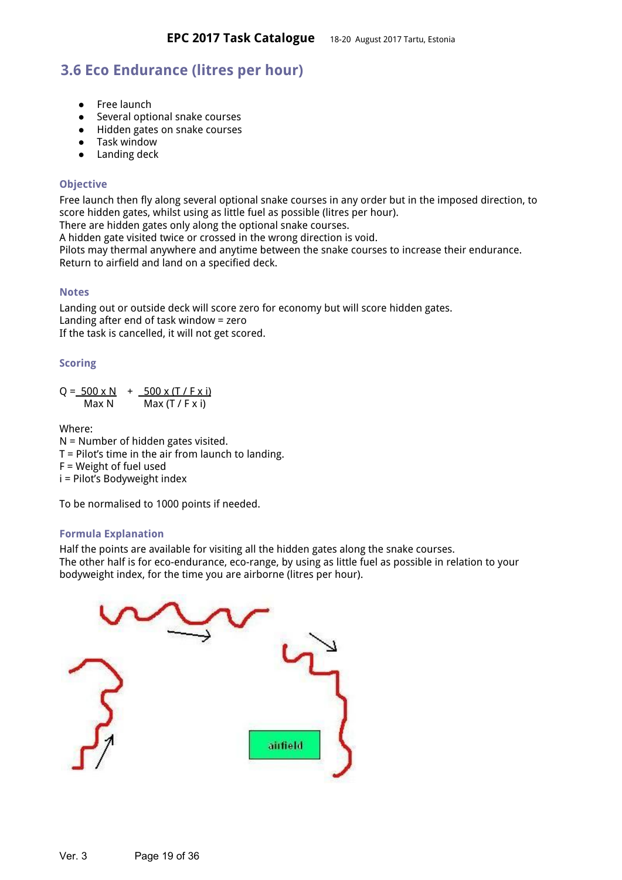## **3.6 Eco Endurance (litres per hour)**

- Free launch
- Several optional snake courses
- Hidden gates on snake courses
- Task window
- Landing deck

### <span id="page-18-0"></span>**Objective**

Free launch then fly along several optional snake courses in any order but in the imposed direction, to score hidden gates, whilst using as little fuel as possible (litres per hour).

There are hidden gates only along the optional snake courses.

A hidden gate visited twice or crossed in the wrong direction is void.

Pilots may thermal anywhere and anytime between the snake courses to increase their endurance. Return to airfield and land on a specified deck.

#### <span id="page-18-3"></span>**Notes**

Landing out or outside deck will score zero for economy but will score hidden gates. Landing after end of task window = zero If the task is cancelled, it will not get scored.

#### <span id="page-18-1"></span>**Scoring**

 $Q = 500 \times N + 500 \times (T / F \times i)$  $Max N$  Max  $(T / F x i)$ 

Where:

N = Number of hidden gates visited.  $T =$  Pilot's time in the air from launch to landing. F = Weight of fuel used i = Pilot's Bodyweight index

To be normalised to 1000 points if needed.

## <span id="page-18-2"></span>**Formula Explanation**

Half the points are available for visiting all the hidden gates along the snake courses. The other half is for eco-endurance, eco-range, by using as little fuel as possible in relation to your bodyweight index, for the time you are airborne (litres per hour).

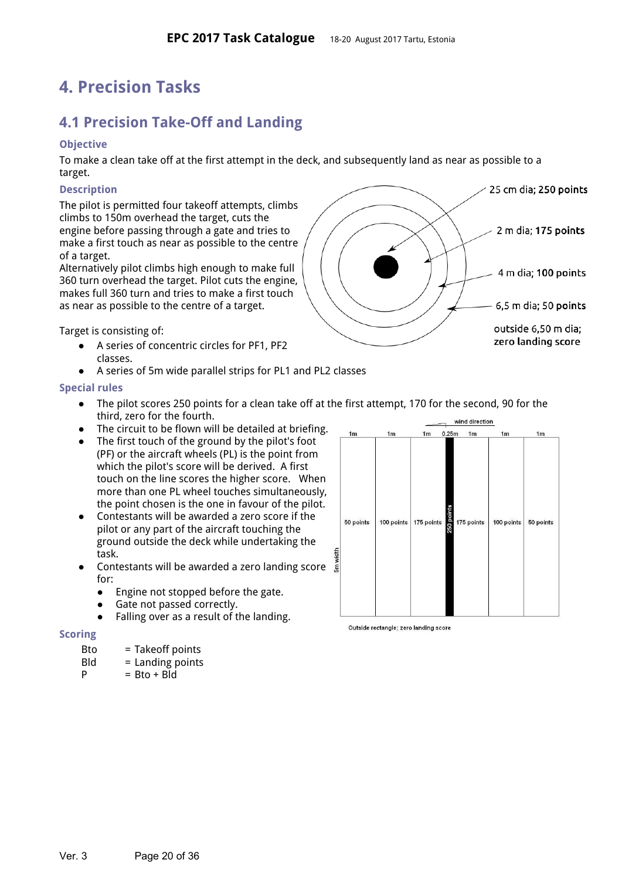# <span id="page-19-2"></span>**4. Precision Tasks**

# <span id="page-19-3"></span>**4.1 Precision Take-Off and Landing**

### <span id="page-19-1"></span>**Objective**

To make a clean take off at the first attempt in the deck, and subsequently land as near as possible to a target.

#### <span id="page-19-5"></span>**Description**

The pilot is permitted four takeoff attempts, climbs climbs to 150m overhead the target, cuts the engine before passing through a gate and tries to make a first touch as near as possible to the centre of a target.

Alternatively pilot climbs high enough to make full 360 turn overhead the target. Pilot cuts the engine, makes full 360 turn and tries to make a first touch as near as possible to the centre of a target.

Target is consisting of:

- A series of concentric circles for PF1, PF2 classes.
- A series of 5m wide parallel strips for PL1 and PL2 classes

#### <span id="page-19-0"></span>**Special rules**

- The pilot scores 250 points for a clean take off at the first attempt, 170 for the second, 90 for the third, zero for the fourth.
- The circuit to be flown will be detailed at briefing.
- The first touch of the ground by the pilot's foot (PF) or the aircraft wheels (PL) is the point from which the pilot's score will be derived. A first touch on the line scores the higher score. When more than one PL wheel touches simultaneously, the point chosen is the one in favour of the pilot.
- Contestants will be awarded a zero score if the pilot or any part of the aircraft touching the ground outside the deck while undertaking the task.
- Contestants will be awarded a zero landing score for:
	- Engine not stopped before the gate.
	- Gate not passed correctly.
	- Falling over as a result of the landing.

#### <span id="page-19-4"></span>**Scoring**

- Bto = Takeoff points
- $Bld =$  Landing points
- $P = Bto + Bld$



Outside rectangle; zero landing score

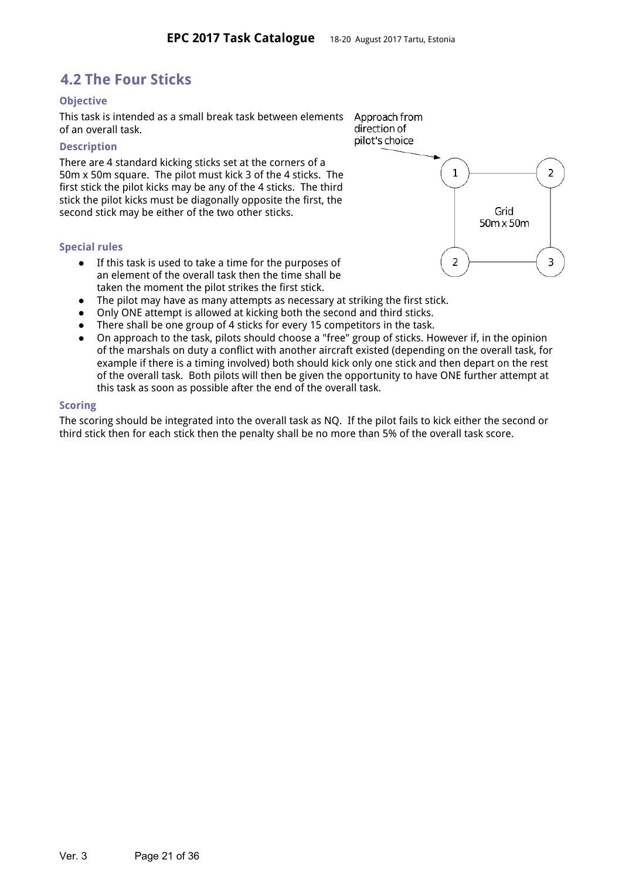## <span id="page-20-4"></span>**4.2 The Four Sticks**

#### <span id="page-20-3"></span>**Objective**

This task is intended as a small break task between elements of an overall task.

#### <span id="page-20-2"></span>**Description**

There are 4 standard kicking sticks set at the corners of a 50m x 50m square. The pilot must kick 3 of the 4 sticks. The first stick the pilot kicks may be any of the 4 sticks. The third stick the pilot kicks must be diagonally opposite the first, the second stick may be either of the two other sticks.

#### <span id="page-20-0"></span>**Special rules**

- If this task is used to take a time for the purposes of an element of the overall task then the time shall be taken the moment the pilot strikes the first stick.
- The pilot may have as many attempts as necessary at striking the first stick.
- Only ONE attempt is allowed at kicking both the second and third sticks.
- There shall be one group of 4 sticks for every 15 competitors in the task.
- On approach to the task, pilots should choose a "free" group of sticks. However if, in the opinion of the marshals on duty a conflict with another aircraft existed (depending on the overall task, for example if there is a timing involved) both should kick only one stick and then depart on the rest of the overall task. Both pilots will then be given the opportunity to have ONE further attempt at this task as soon as possible after the end of the overall task.

#### <span id="page-20-1"></span>**Scoring**

<span id="page-20-5"></span>The scoring should be integrated into the overall task as NQ. If the pilot fails to kick either the second or third stick then for each stick then the penalty shall be no more than 5% of the overall task score.

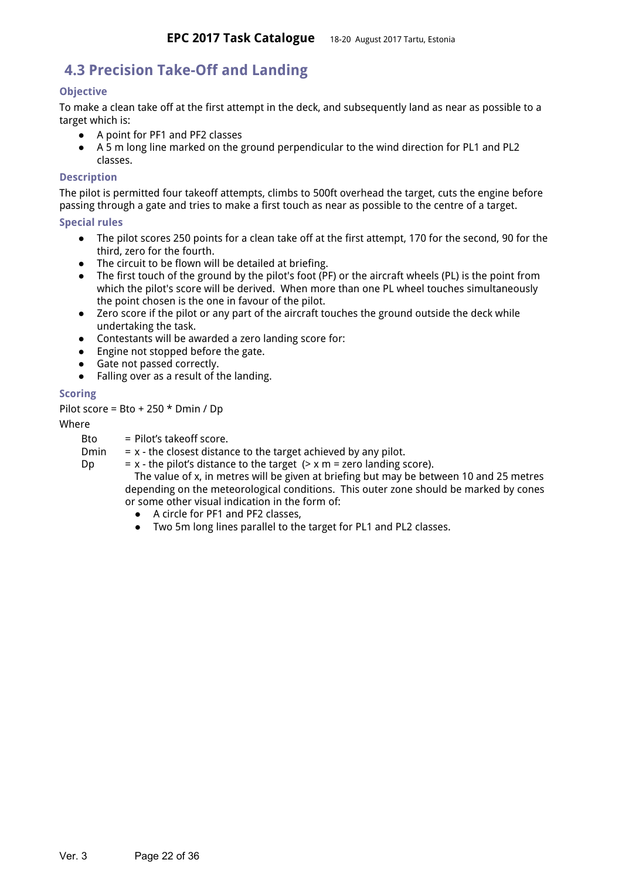## **4.3 Precision Take-Off and Landing**

## <span id="page-21-2"></span>**Objective**

To make a clean take off at the first attempt in the deck, and subsequently land as near as possible to a target which is:

- A point for PF1 and PF2 classes
- A 5 m long line marked on the ground perpendicular to the wind direction for PL1 and PL2 classes.

#### <span id="page-21-1"></span>**Description**

The pilot is permitted four takeoff attempts, climbs to 500ft overhead the target, cuts the engine before passing through a gate and tries to make a first touch as near as possible to the centre of a target.

#### <span id="page-21-0"></span>**Special rules**

- The pilot scores 250 points for a clean take off at the first attempt, 170 for the second, 90 for the third, zero for the fourth.
- The circuit to be flown will be detailed at briefing.
- $\bullet$  The first touch of the ground by the pilot's foot (PF) or the aircraft wheels (PL) is the point from which the pilot's score will be derived. When more than one PL wheel touches simultaneously the point chosen is the one in favour of the pilot.
- Zero score if the pilot or any part of the aircraft touches the ground outside the deck while undertaking the task.
- Contestants will be awarded a zero landing score for:
- Engine not stopped before the gate.
- Gate not passed correctly.
- Falling over as a result of the landing.

## <span id="page-21-3"></span>**Scoring**

Pilot score = Bto + 250 \* Dmin / Dp

#### Where

Bto = Pilot's takeoff score.

Dmin  $= x -$  the closest distance to the target achieved by any pilot.

Dp  $= x -$  the pilot's distance to the target  $(2) \times x$  m = zero landing score).

The value of x, in metres will be given at briefing but may be between 10 and 25 metres depending on the meteorological conditions. This outer zone should be marked by cones or some other visual indication in the form of:

- A circle for PF1 and PF2 classes,
- <span id="page-21-4"></span>● Two 5m long lines parallel to the target for PL1 and PL2 classes.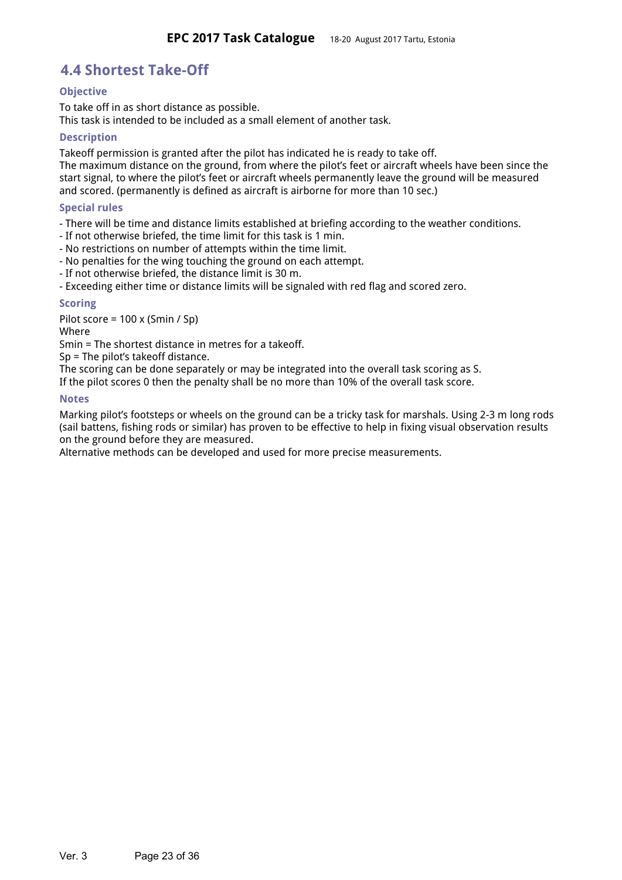## **4.4 Shortest Take-Off**

## <span id="page-22-5"></span>**Objective**

To take off in as short distance as possible. This task is intended to be included as a small element of another task.

#### <span id="page-22-4"></span>**Description**

Takeoff permission is granted after the pilot has indicated he is ready to take off.

The maximum distance on the ground, from where the pilot's feet or aircraft wheels have been since the start signal, to where the pilot's feet or aircraft wheels permanently leave the ground will be measured and scored. (permanently is defined as aircraft is airborne for more than 10 sec.)

#### <span id="page-22-3"></span>**Special rules**

- There will be time and distance limits established at briefing according to the weather conditions.

- If not otherwise briefed, the time limit for this task is 1 min.
- No restrictions on number of attempts within the time limit.
- No penalties for the wing touching the ground on each attempt.
- If not otherwise briefed, the distance limit is 30 m.

- Exceeding either time or distance limits will be signaled with red flag and scored zero.

#### <span id="page-22-0"></span>**Scoring**

Pilot score = 100 x (Smin / Sp)

Where

Smin = The shortest distance in metres for a takeoff.

Sp = The pilot's takeoff distance.

The scoring can be done separately or may be integrated into the overall task scoring as S.

If the pilot scores 0 then the penalty shall be no more than 10% of the overall task score.

#### <span id="page-22-1"></span>**Notes**

Marking pilot's footsteps or wheels on the ground can be a tricky task for marshals. Using 2-3 m long rods (sail battens, fishing rods or similar) has proven to be effective to help in fixing visual observation results on the ground before they are measured.

<span id="page-22-2"></span>Alternative methods can be developed and used for more precise measurements.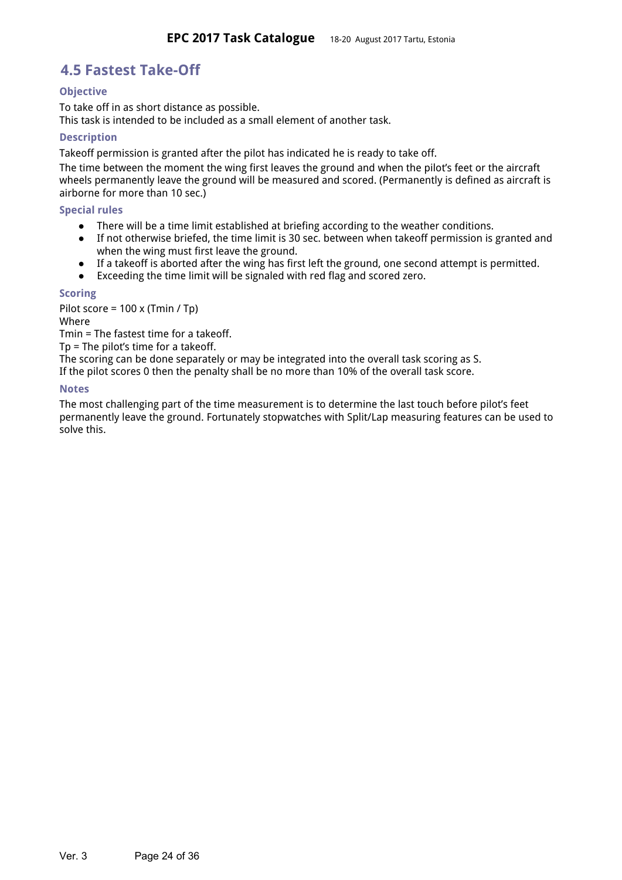## **4.5 Fastest Take-Off**

### <span id="page-23-1"></span>**Objective**

To take off in as short distance as possible. This task is intended to be included as a small element of another task.

#### <span id="page-23-4"></span>**Description**

Takeoff permission is granted after the pilot has indicated he is ready to take off.

The time between the moment the wing first leaves the ground and when the pilot's feet or the aircraft wheels permanently leave the ground will be measured and scored. (Permanently is defined as aircraft is airborne for more than 10 sec.)

#### <span id="page-23-0"></span>**Special rules**

- There will be a time limit established at briefing according to the weather conditions.
- If not otherwise briefed, the time limit is 30 sec. between when takeoff permission is granted and when the wing must first leave the ground.
- If a takeoff is aborted after the wing has first left the ground, one second attempt is permitted.
- Exceeding the time limit will be signaled with red flag and scored zero.

#### <span id="page-23-3"></span>**Scoring**

Pilot score = 100 x (Tmin / Tp) Where

Tmin = The fastest time for a takeoff.

Tp = The pilot's time for a takeoff.

The scoring can be done separately or may be integrated into the overall task scoring as S.

If the pilot scores 0 then the penalty shall be no more than 10% of the overall task score.

#### <span id="page-23-5"></span>**Notes**

<span id="page-23-2"></span>The most challenging part of the time measurement is to determine the last touch before pilot's feet permanently leave the ground. Fortunately stopwatches with Split/Lap measuring features can be used to solve this.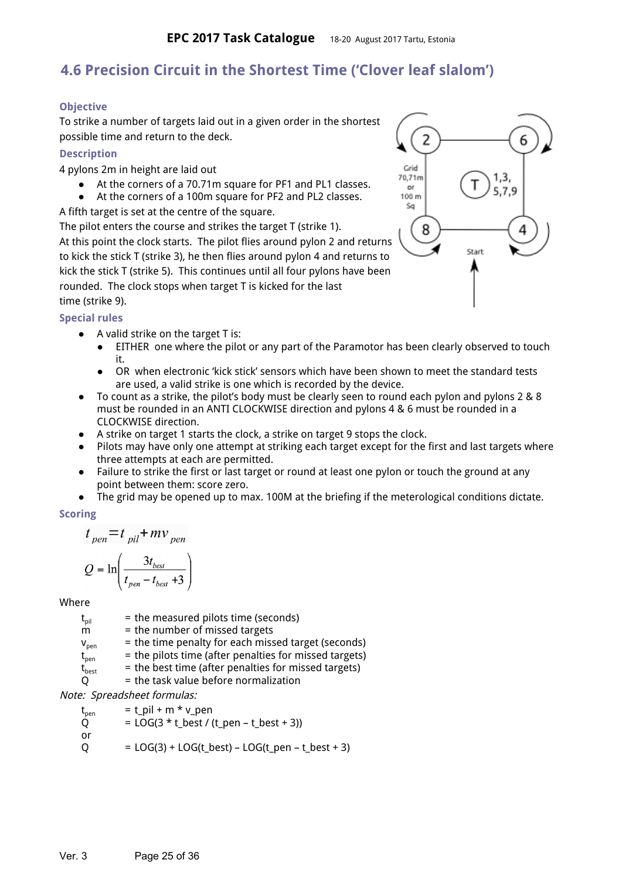## **4.6 Precision Circuit in the Shortest Time ('Clover leaf slalom')**

## **Objective**

To strike a number of targets laid out in a given order in the shortest possible time and return to the deck.

### <span id="page-24-1"></span>**Description**

4 pylons 2m in height are laid out

- At the corners of a 70.71m square for PF1 and PL1 classes.
- At the corners of a 100m square for PF2 and PL2 classes.

A fifth target is set at the centre of the square.

The pilot enters the course and strikes the target T (strike 1). At this point the clock starts. The pilot flies around pylon 2 and returns to kick the stick T (strike 3), he then flies around pylon 4 and returns to kick the stick T (strike 5). This continues until all four pylons have been rounded. The clock stops when target T is kicked for the last time (strike 9).

## <span id="page-24-2"></span>**Special rules**

- A valid strike on the target T is:
	- EITHER one where the pilot or any part of the Paramotor has been clearly observed to touch it.
	- OR when electronic 'kick stick' sensors which have been shown to meet the standard tests are used, a valid strike is one which is recorded by the device.
- To count as a strike, the pilot's body must be clearly seen to round each pylon and pylons 2 & 8 must be rounded in an ANTI CLOCKWISE direction and pylons 4 & 6 must be rounded in a CLOCKWISE direction.
- A strike on target 1 starts the clock, a strike on target 9 stops the clock.
- Pilots may have only one attempt at striking each target except for the first and last targets where three attempts at each are permitted.
- Failure to strike the first or last target or round at least one pylon or touch the ground at any point between them: score zero.
- The grid may be opened up to max. 100M at the briefing if the meterological conditions dictate.

## <span id="page-24-3"></span>**Scoring**

$$
t_{pen} = t_{pil} + mv_{pen}
$$

$$
Q = \ln\left(\frac{3t_{best}}{t_{pen} - t_{best} + 3}\right)
$$

## Where

 $t_{pi}$  = the measured pilots time (seconds)  $m =$  the number of missed targets  $v_{pen}$  = the time penalty for each missed target (seconds)  $t_{pen}$  = the pilots time (after penalties for missed targets)  $t_{best}$  = the best time (after penalties for missed targets)  $Q =$  the task value before normalization

Note: Spreadsheet formulas:

<span id="page-24-0"></span>
$$
t_{pen} = t\_pil + m * v\_pen
$$
  
\nQ = LOG(3 \* t\_best / (t\_pen - t\_best + 3))  
\nor  
\nQ = LOG(3) + LOG(t\_best) - LOG(t\_pen - t\_best + 3)

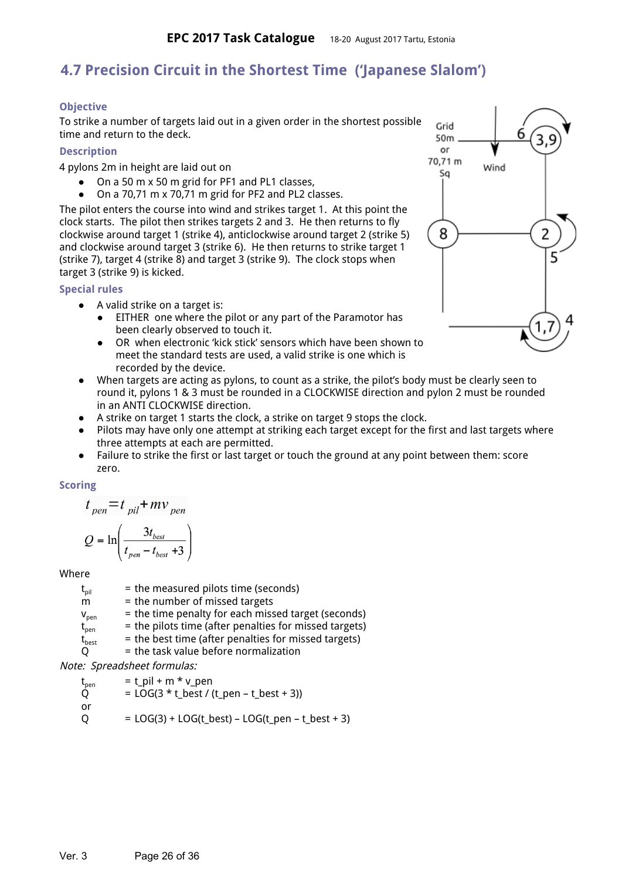## **4.7 Precision Circuit in the Shortest Time ('Japanese Slalom')**

## **Objective**

To strike a number of targets laid out in a given order in the shortest possible time and return to the deck.

### <span id="page-25-3"></span>**Description**

4 pylons 2m in height are laid out on

- On a 50 m  $\times$  50 m grid for PF1 and PL1 classes.
- On a 70,71 m x 70,71 m grid for PF2 and PL2 classes.

The pilot enters the course into wind and strikes target 1. At this point the clock starts. The pilot then strikes targets 2 and 3. He then returns to fly clockwise around target 1 (strike 4), anticlockwise around target 2 (strike 5) and clockwise around target 3 (strike 6). He then returns to strike target 1 (strike 7), target 4 (strike 8) and target 3 (strike 9). The clock stops when target 3 (strike 9) is kicked.

## <span id="page-25-2"></span>**Special rules**

- A valid strike on a target is:
	- EITHER one where the pilot or any part of the Paramotor has been clearly observed to touch it.
	- OR when electronic 'kick stick' sensors which have been shown to meet the standard tests are used, a valid strike is one which is recorded by the device.
- When targets are acting as pylons, to count as a strike, the pilot's body must be clearly seen to round it, pylons 1 & 3 must be rounded in a CLOCKWISE direction and pylon 2 must be rounded in an ANTI CLOCKWISE direction.
- A strike on target 1 starts the clock, a strike on target 9 stops the clock.
- Pilots may have only one attempt at striking each target except for the first and last targets where three attempts at each are permitted.
- Failure to strike the first or last target or touch the ground at any point between them: score zero.

## <span id="page-25-1"></span>**Scoring**

$$
t_{\text{pen}} = t_{\text{pi}l} + mv_{\text{pen}}
$$

$$
Q = \ln\left(\frac{3t_{best}}{t_{pen} - t_{best} + 3}\right)
$$

Where

 $t_{\text{oil}}$  = the measured pilots time (seconds)  $m =$  the number of missed targets  $v_{pen}$  = the time penalty for each missed target (seconds)  $t_{pen}$  = the pilots time (after penalties for missed targets)  $t_{best}$  = the best time (after penalties for missed targets)  $Q =$  the task value before normalization

Note: Spreadsheet formulas:

 $t_{\text{pen}}$  = t\_pil + m \* v\_pen

$$
Q = LOG(3 * t_best / (t_ben - t_best + 3))
$$

- or
- <span id="page-25-0"></span> $Q = LOG(3) + LOG(t_best) - LOG(t_pen - t_best + 3)$

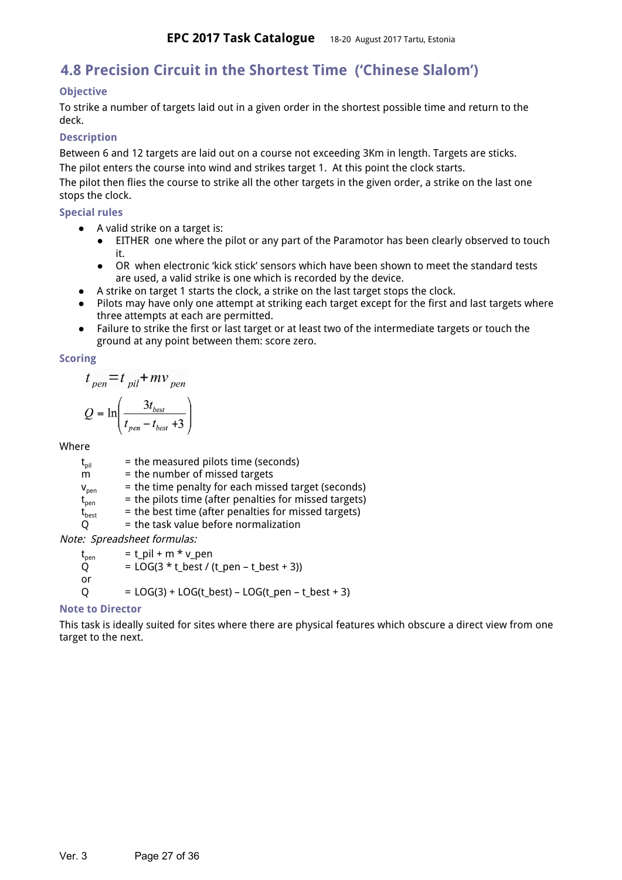## **4.8 Precision Circuit in the Shortest Time ('Chinese Slalom')**

## <span id="page-26-4"></span>**Objective**

To strike a number of targets laid out in a given order in the shortest possible time and return to the deck.

#### <span id="page-26-5"></span>**Description**

Between 6 and 12 targets are laid out on a course not exceeding 3Km in length. Targets are sticks. The pilot enters the course into wind and strikes target 1. At this point the clock starts.

The pilot then flies the course to strike all the other targets in the given order, a strike on the last one stops the clock.

#### <span id="page-26-0"></span>**Special rules**

- A valid strike on a target is:
	- EITHER one where the pilot or any part of the Paramotor has been clearly observed to touch it.
	- OR when electronic 'kick stick' sensors which have been shown to meet the standard tests are used, a valid strike is one which is recorded by the device.
- A strike on target 1 starts the clock, a strike on the last target stops the clock.
- Pilots may have only one attempt at striking each target except for the first and last targets where three attempts at each are permitted.
- Failure to strike the first or last target or at least two of the intermediate targets or touch the ground at any point between them: score zero.

#### <span id="page-26-1"></span>**Scoring**

$$
t_{pen} = t_{pil} + mv_{pen}
$$

$$
Q = \ln\left(\frac{3t_{best}}{t_{pen} - t_{best} + 3}\right)
$$

#### Where

 $t<sub>oil</sub>$  = the measured pilots time (seconds)  $m =$  the number of missed targets  $v_{\text{pen}}$  = the time penalty for each missed target (seconds)  $t_{\text{ben}}$  = the pilots time (after penalties for missed targets)  $t_{best}$  = the best time (after penalties for missed targets)

 $Q =$  the task value before normalization

Note: Spreadsheet formulas:

 $t_{\text{pen}}$  = t\_pil + m \* v\_pen<br>Q = LOG(3 \* t\_best / (  $=$  LOG(3  $*$  t\_best / (t\_pen – t\_best + 3)) or  $Q = LOG(3) + LOG(t_best) - LOG(t_pen - t_best + 3)$ 

#### <span id="page-26-3"></span>**Note to Director**

<span id="page-26-2"></span>This task is ideally suited for sites where there are physical features which obscure a direct view from one target to the next.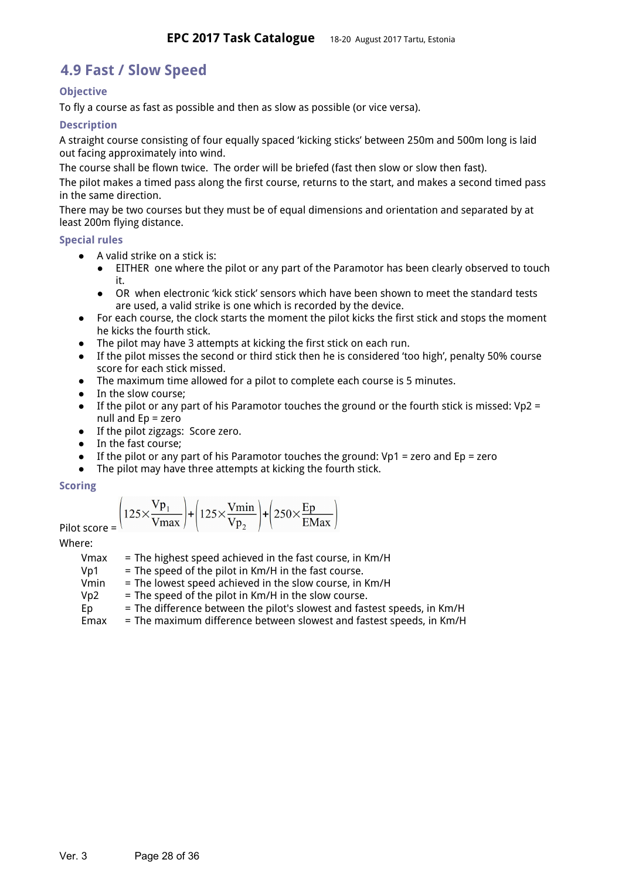## **4.9 Fast / Slow Speed**

## <span id="page-27-2"></span>**Objective**

To fly a course as fast as possible and then as slow as possible (or vice versa).

## <span id="page-27-1"></span>**Description**

A straight course consisting of four equally spaced 'kicking sticks' between 250m and 500m long is laid out facing approximately into wind.

The course shall be flown twice. The order will be briefed (fast then slow or slow then fast).

The pilot makes a timed pass along the first course, returns to the start, and makes a second timed pass in the same direction.

There may be two courses but they must be of equal dimensions and orientation and separated by at least 200m flying distance.

#### <span id="page-27-0"></span>**Special rules**

- A valid strike on a stick is:
	- EITHER one where the pilot or any part of the Paramotor has been clearly observed to touch it.
	- OR when electronic 'kick stick' sensors which have been shown to meet the standard tests are used, a valid strike is one which is recorded by the device.
- For each course, the clock starts the moment the pilot kicks the first stick and stops the moment he kicks the fourth stick.
- The pilot may have 3 attempts at kicking the first stick on each run.
- If the pilot misses the second or third stick then he is considered 'too high', penalty 50% course score for each stick missed.
- The maximum time allowed for a pilot to complete each course is 5 minutes.
- In the slow course:
- **•** If the pilot or any part of his Paramotor touches the ground or the fourth stick is missed: Vp2 = null and Ep = zero
- If the pilot zigzags: Score zero.
- In the fast course;
- $\bullet$  If the pilot or any part of his Paramotor touches the ground: Vp1 = zero and Ep = zero
- The pilot may have three attempts at kicking the fourth stick.

#### <span id="page-27-4"></span>**Scoring**

$$
Pilot score = \left(125 \times \frac{Vp_1}{Vmax}\right) + \left(125 \times \frac{Vmin}{Vp_2}\right) + \left(250 \times \frac{Ep}{EMax}\right)
$$

Where:

<span id="page-27-3"></span>

| Vmax | = The highest speed achieved in the fast course, in Km/H                 |
|------|--------------------------------------------------------------------------|
| Vp1  | = The speed of the pilot in Km/H in the fast course.                     |
| Vmin | = The lowest speed achieved in the slow course, in Km/H                  |
| Vp2  | = The speed of the pilot in Km/H in the slow course.                     |
| Ep   | = The difference between the pilot's slowest and fastest speeds, in Km/H |
| Emax | = The maximum difference between slowest and fastest speeds, in Km/H     |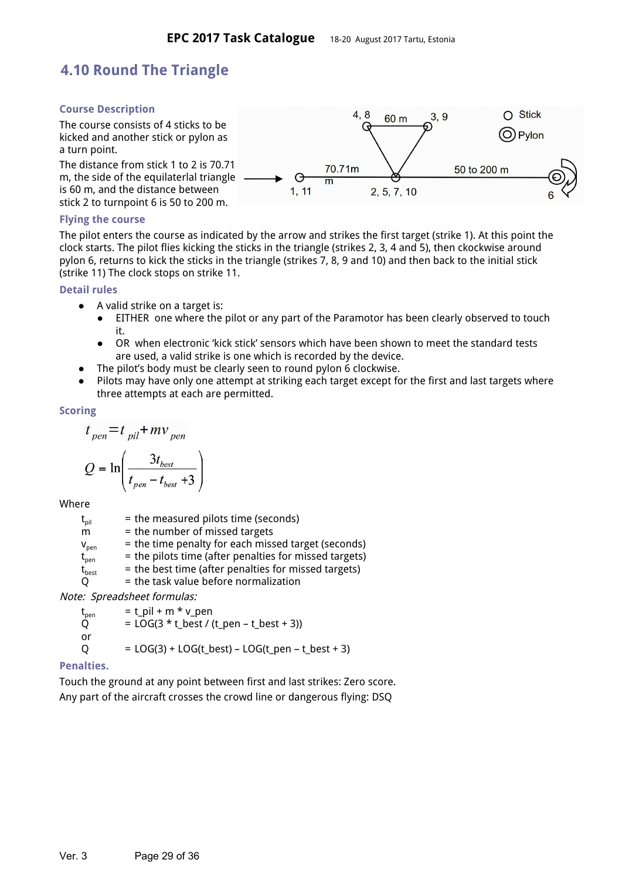## **4.10 Round The Triangle**

## <span id="page-28-5"></span>**Course Description**

The course consists of 4 sticks to be kicked and another stick or pylon as a turn point.

The distance from stick 1 to 2 is 70.71 m, the side of the equilaterlal triangle is 60 m, and the distance between stick 2 to turnpoint 6 is 50 to 200 m.



### <span id="page-28-1"></span>**Flying the course**

The pilot enters the course as indicated by the arrow and strikes the first target (strike 1). At this point the clock starts. The pilot flies kicking the sticks in the triangle (strikes 2, 3, 4 and 5), then ckockwise around pylon 6, returns to kick the sticks in the triangle (strikes 7, 8, 9 and 10) and then back to the initial stick (strike 11) The clock stops on strike 11.

#### <span id="page-28-0"></span>**Detail rules**

- A valid strike on a target is:
	- EITHER one where the pilot or any part of the Paramotor has been clearly observed to touch it.
	- OR when electronic 'kick stick' sensors which have been shown to meet the standard tests are used, a valid strike is one which is recorded by the device.
- The pilot's body must be clearly seen to round pylon 6 clockwise.
- Pilots may have only one attempt at striking each target except for the first and last targets where three attempts at each are permitted.

#### <span id="page-28-3"></span>**Scoring**

$$
t_{pen} = t_{pil} + mv_{pen}
$$

$$
Q = \ln\left(\frac{3t_{best}}{t_{nen} - t_{best} + 3}\right)
$$

Where

 $t_{pi}$  = the measured pilots time (seconds)  $m =$  the number of missed targets  $v_{\text{pen}}$  = the time penalty for each missed target (seconds)  $t_{pen}$  = the pilots time (after penalties for missed targets)  $t_{best}$  = the best time (after penalties for missed targets)  $Q =$  the task value before normalization

Note: Spreadsheet formulas:

 $t_{\text{pen}}$  = t\_pil + m \* v\_pen<br>Q = LOG(3 \* t\_best / (  $=$  LOG(3  $*$  t\_best / (t\_pen – t\_best + 3)) or  $Q = LOG(3) + LOG(t_best) - LOG(t_pen - t_best + 3)$ 

## <span id="page-28-2"></span>**Penalties.**

<span id="page-28-4"></span>Touch the ground at any point between first and last strikes: Zero score. Any part of the aircraft crosses the crowd line or dangerous flying: DSQ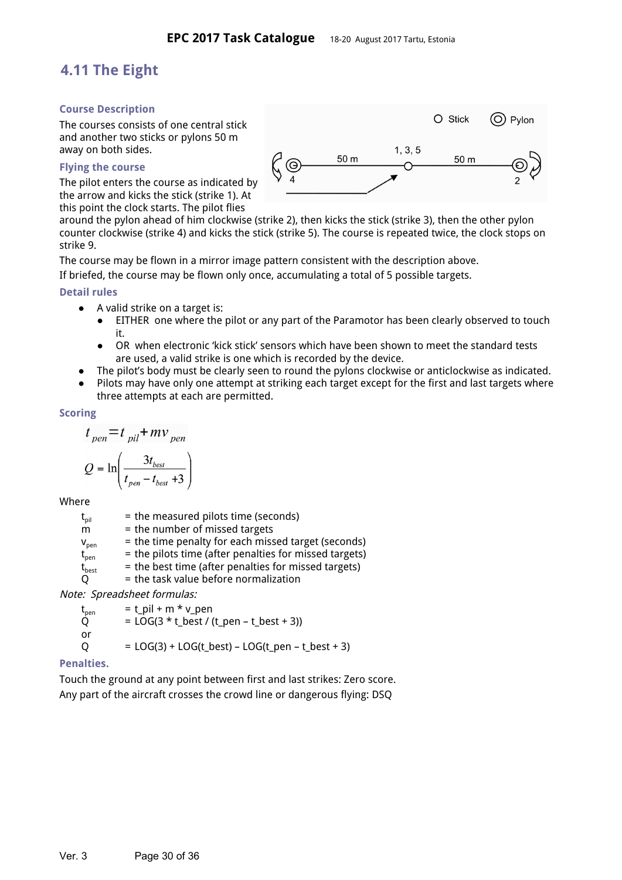## **4.11 The Eight**

### <span id="page-29-2"></span>**Course Description**

The courses consists of one central stick and another two sticks or pylons 50 m away on both sides.

#### <span id="page-29-4"></span>**Flying the course**

The pilot enters the course as indicated by the arrow and kicks the stick (strike 1). At this point the clock starts. The pilot flies



around the pylon ahead of him clockwise (strike 2), then kicks the stick (strike 3), then the other pylon counter clockwise (strike 4) and kicks the stick (strike 5). The course is repeated twice, the clock stops on strike 9.

The course may be flown in a mirror image pattern consistent with the description above.

If briefed, the course may be flown only once, accumulating a total of 5 possible targets.

#### <span id="page-29-5"></span>**Detail rules**

- A valid strike on a target is:
	- EITHER one where the pilot or any part of the Paramotor has been clearly observed to touch it.
	- OR when electronic 'kick stick' sensors which have been shown to meet the standard tests are used, a valid strike is one which is recorded by the device.
- The pilot's body must be clearly seen to round the pylons clockwise or anticlockwise as indicated.
- Pilots may have only one attempt at striking each target except for the first and last targets where three attempts at each are permitted.

#### <span id="page-29-0"></span>**Scoring**

$$
t_{pen} = t_{pil} + mv_{pen}
$$

$$
Q = \ln\left(\frac{3t_{best}}{t_{pen} - t_{best} + 3}\right)
$$

Where

 $t<sub>pi</sub>$  = the measured pilots time (seconds)  $m =$  the number of missed targets  $v_{\text{pen}}$  = the time penalty for each missed target (seconds)  $t_{pen}$  = the pilots time (after penalties for missed targets)  $t_{\text{best}}$  = the best time (after penalties for missed targets)  $Q =$  the task value before normalization

Note: Spreadsheet formulas:

 $t_{pen}$  =  $t$ \_pil + m \* v\_pen  $Q = LOG(3 * t\_best / (t\_pen - t\_best + 3))$ or  $Q = LOG(3) + LOG(t_best) - LOG(t_pen - t_best + 3)$ 

## <span id="page-29-1"></span>**Penalties.**

<span id="page-29-3"></span>Touch the ground at any point between first and last strikes: Zero score. Any part of the aircraft crosses the crowd line or dangerous flying: DSQ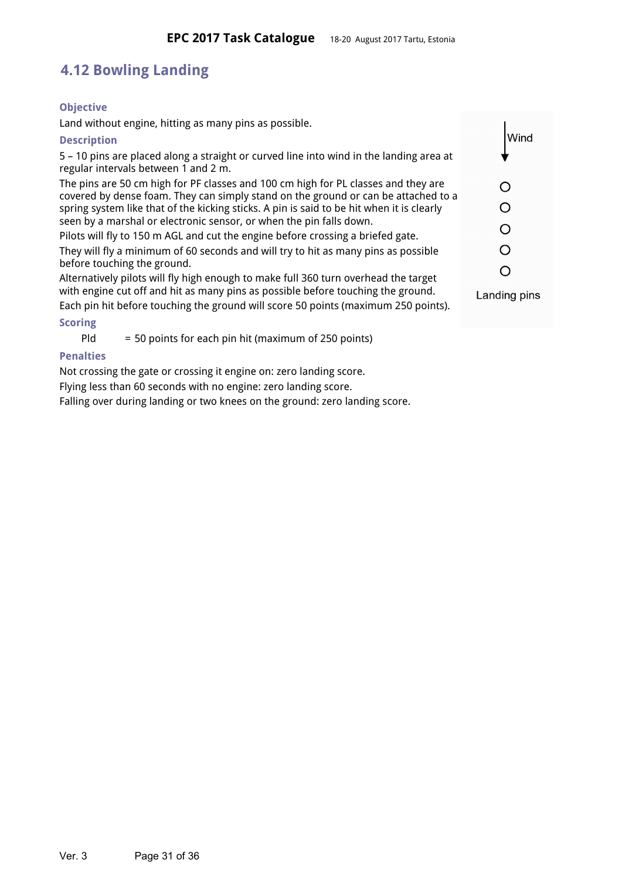## **4.12 Bowling Landing**

## <span id="page-30-0"></span>**Objective**

Land without engine, hitting as many pins as possible.

### <span id="page-30-4"></span>**Description**

5 – 10 pins are placed along a straight or curved line into wind in the landing area at regular intervals between 1 and 2 m.

The pins are 50 cm high for PF classes and 100 cm high for PL classes and they are covered by dense foam. They can simply stand on the ground or can be attached to a spring system like that of the kicking sticks. A pin is said to be hit when it is clearly seen by a marshal or electronic sensor, or when the pin falls down.

Pilots will fly to 150 m AGL and cut the engine before crossing a briefed gate. They will fly a minimum of 60 seconds and will try to hit as many pins as possible before touching the ground.

Alternatively pilots will fly high enough to make full 360 turn overhead the target with engine cut off and hit as many pins as possible before touching the ground.

Each pin hit before touching the ground will score 50 points (maximum 250 points).

## <span id="page-30-3"></span>**Scoring**

 $P$ ld = 50 points for each pin hit (maximum of 250 points)

## <span id="page-30-1"></span>**Penalties**

Not crossing the gate or crossing it engine on: zero landing score.

Flying less than 60 seconds with no engine: zero landing score.

<span id="page-30-2"></span>Falling over during landing or two knees on the ground: zero landing score.



**Landing pins**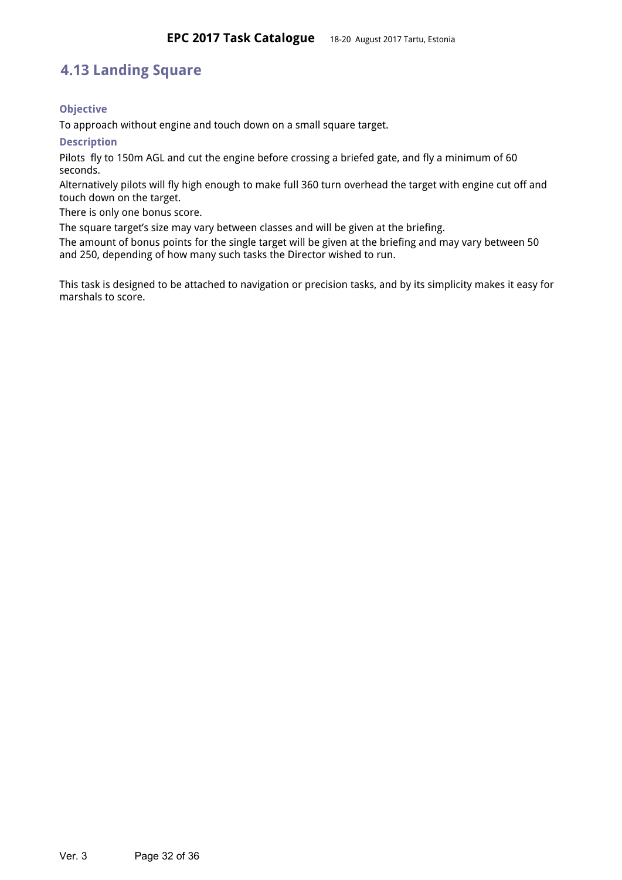## **4.13 Landing Square**

## <span id="page-31-2"></span>**Objective**

To approach without engine and touch down on a small square target.

<span id="page-31-0"></span>**Description**

Pilots fly to 150m AGL and cut the engine before crossing a briefed gate, and fly a minimum of 60 seconds.

Alternatively pilots will fly high enough to make full 360 turn overhead the target with engine cut off and touch down on the target.

There is only one bonus score.

The square target's size may vary between classes and will be given at the briefing.

The amount of bonus points for the single target will be given at the briefing and may vary between 50 and 250, depending of how many such tasks the Director wished to run.

<span id="page-31-1"></span>This task is designed to be attached to navigation or precision tasks, and by its simplicity makes it easy for marshals to score.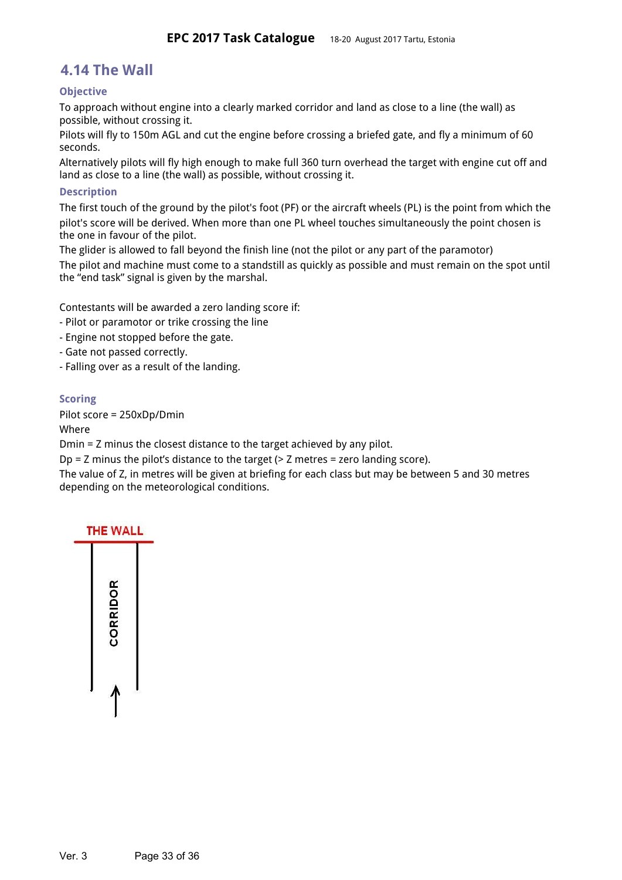## **4.14 The Wall**

## <span id="page-32-3"></span>**Objective**

To approach without engine into a clearly marked corridor and land as close to a line (the wall) as possible, without crossing it.

Pilots will fly to 150m AGL and cut the engine before crossing a briefed gate, and fly a minimum of 60 seconds.

Alternatively pilots will fly high enough to make full 360 turn overhead the target with engine cut off and land as close to a line (the wall) as possible, without crossing it.

#### <span id="page-32-1"></span>**Description**

The first touch of the ground by the pilot's foot (PF) or the aircraft wheels (PL) is the point from which the pilot's score will be derived. When more than one PL wheel touches simultaneously the point chosen is the one in favour of the pilot.

The glider is allowed to fall beyond the finish line (not the pilot or any part of the paramotor) The pilot and machine must come to a standstill as quickly as possible and must remain on the spot until the "end task" signal is given by the marshal.

Contestants will be awarded a zero landing score if:

- Pilot or paramotor or trike crossing the line
- Engine not stopped before the gate.
- Gate not passed correctly.
- Falling over as a result of the landing.

#### <span id="page-32-2"></span>**Scoring**

Pilot score = 250xDp/Dmin

Where

Dmin = Z minus the closest distance to the target achieved by any pilot.

 $Dp = Z$  minus the pilot's distance to the target ( $> Z$  metres = zero landing score).

The value of Z, in metres will be given at briefing for each class but may be between 5 and 30 metres depending on the meteorological conditions.

<span id="page-32-0"></span>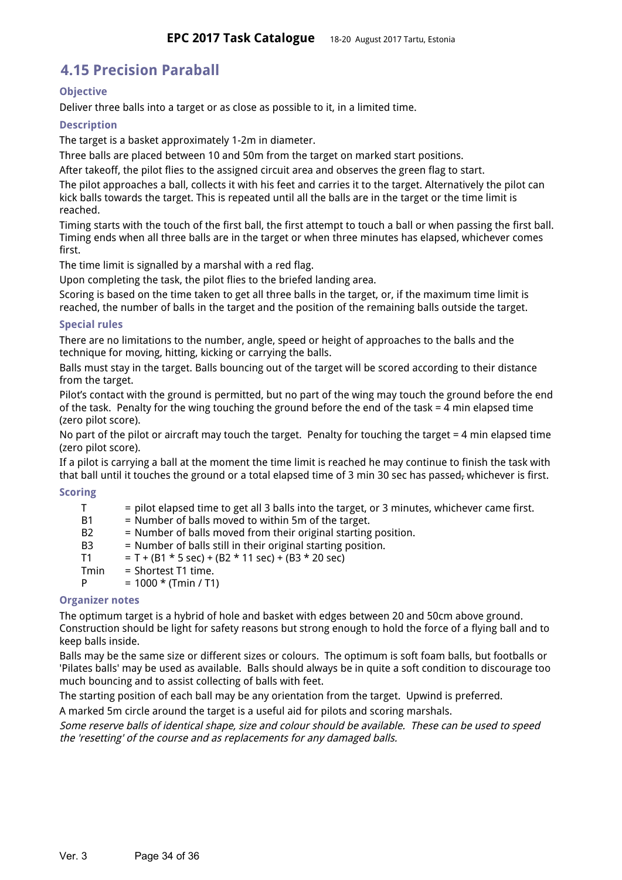## **4.15 Precision Paraball**

## <span id="page-33-1"></span>**Objective**

Deliver three balls into a target or as close as possible to it, in a limited time.

## <span id="page-33-5"></span>**Description**

The target is a basket approximately 1-2m in diameter.

Three balls are placed between 10 and 50m from the target on marked start positions.

After takeoff, the pilot flies to the assigned circuit area and observes the green flag to start.

The pilot approaches a ball, collects it with his feet and carries it to the target. Alternatively the pilot can kick balls towards the target. This is repeated until all the balls are in the target or the time limit is reached.

Timing starts with the touch of the first ball, the first attempt to touch a ball or when passing the first ball. Timing ends when all three balls are in the target or when three minutes has elapsed, whichever comes first.

The time limit is signalled by a marshal with a red flag.

Upon completing the task, the pilot flies to the briefed landing area.

Scoring is based on the time taken to get all three balls in the target, or, if the maximum time limit is reached, the number of balls in the target and the position of the remaining balls outside the target.

#### <span id="page-33-3"></span>**Special rules**

There are no limitations to the number, angle, speed or height of approaches to the balls and the technique for moving, hitting, kicking or carrying the balls.

Balls must stay in the target. Balls bouncing out of the target will be scored according to their distance from the target.

Pilot's contact with the ground is permitted, but no part of the wing may touch the ground before the end of the task. Penalty for the wing touching the ground before the end of the task = 4 min elapsed time (zero pilot score).

No part of the pilot or aircraft may touch the target. Penalty for touching the target = 4 min elapsed time (zero pilot score).

If a pilot is carrying a ball at the moment the time limit is reached he may continue to finish the task with that ball until it touches the ground or a total elapsed time of 3 min 30 sec has passed, whichever is first.

#### <span id="page-33-4"></span>**Scoring**

T = pilot elapsed time to get all 3 balls into the target, or 3 minutes, whichever came first.

- B1 = Number of balls moved to within 5m of the target.
- B2 = Number of balls moved from their original starting position.
- B3 = Number of balls still in their original starting position.
- T1 = T + (B1  $*$  5 sec) + (B2  $*$  11 sec) + (B3  $*$  20 sec)
- Tmin = Shortest T1 time.

 $P = 1000 * (Tmin / T1)$ 

## <span id="page-33-2"></span>**Organizer notes**

The optimum target is a hybrid of hole and basket with edges between 20 and 50cm above ground. Construction should be light for safety reasons but strong enough to hold the force of a flying ball and to keep balls inside.

Balls may be the same size or different sizes or colours. The optimum is soft foam balls, but footballs or 'Pilates balls' may be used as available. Balls should always be in quite a soft condition to discourage too much bouncing and to assist collecting of balls with feet.

The starting position of each ball may be any orientation from the target. Upwind is preferred.

A marked 5m circle around the target is a useful aid for pilots and scoring marshals.

<span id="page-33-0"></span>Some reserve balls of identical shape, size and colour should be available. These can be used to speed the 'resetting' of the course and as replacements for any damaged balls.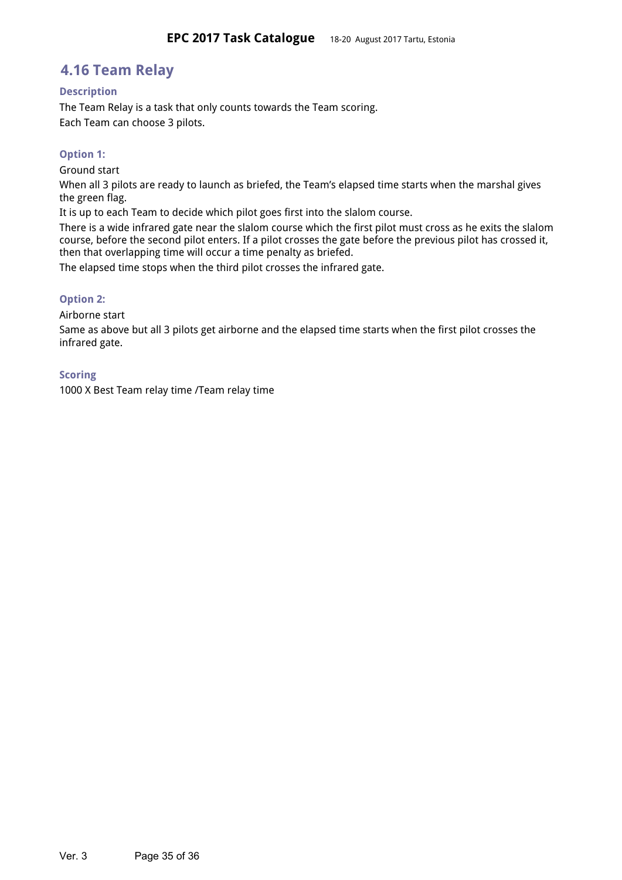## **4.16 Team Relay**

#### <span id="page-34-0"></span>**Description**

The Team Relay is a task that only counts towards the Team scoring. Each Team can choose 3 pilots.

### <span id="page-34-2"></span>**Option 1:**

Ground start

When all 3 pilots are ready to launch as briefed, the Team's elapsed time starts when the marshal gives the green flag.

It is up to each Team to decide which pilot goes first into the slalom course.

There is a wide infrared gate near the slalom course which the first pilot must cross as he exits the slalom course, before the second pilot enters. If a pilot crosses the gate before the previous pilot has crossed it, then that overlapping time will occur a time penalty as briefed.

The elapsed time stops when the third pilot crosses the infrared gate.

#### <span id="page-34-3"></span>**Option 2:**

Airborne start

Same as above but all 3 pilots get airborne and the elapsed time starts when the first pilot crosses the infrared gate.

#### <span id="page-34-4"></span>**Scoring**

<span id="page-34-1"></span>1000 X Best Team relay time /Team relay time